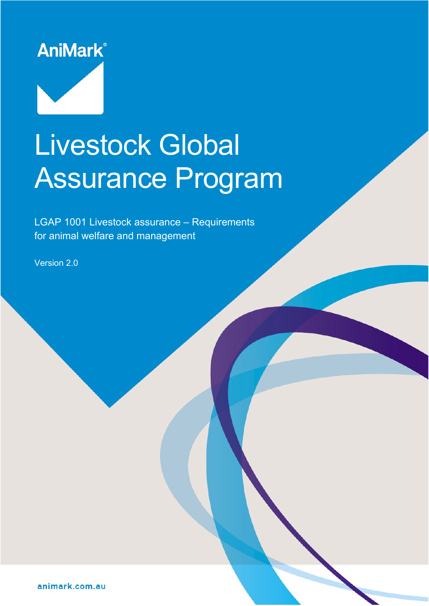

# Livestock Global Assurance Program

LGAP 1001 Livestock assurance – Requirements for animal welfare and management

Version 2.0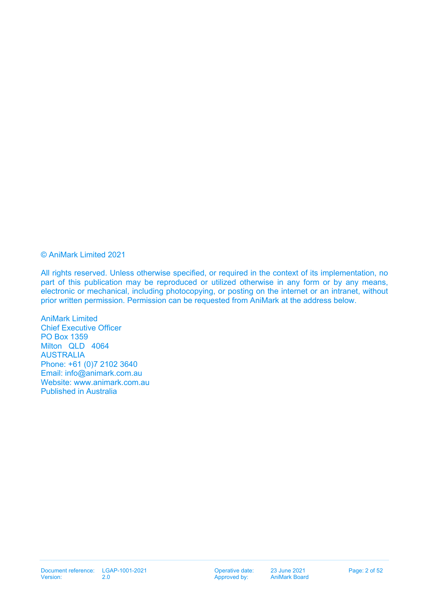© AniMark Limited 2021

All rights reserved. Unless otherwise specified, or required in the context of its implementation, no part of this publication may be reproduced or utilized otherwise in any form or by any means, electronic or mechanical, including photocopying, or posting on the internet or an intranet, without prior written permission. Permission can be requested from AniMark at the address below.

AniMark Limited Chief Executive Officer PO Box 1359 Milton QLD 4064 AUSTRALIA Phone: +61 (0)7 2102 3640 Email: [info@animark.com.au](mailto:info@animark.com.au) Website: [www.animark.com.au](http://www.animark.com.au/) Published in Australia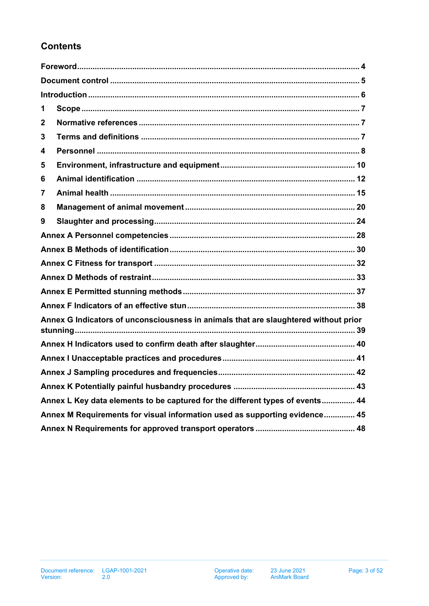# **Contents**

| 1                                                                             |                                                                                     |  |  |  |
|-------------------------------------------------------------------------------|-------------------------------------------------------------------------------------|--|--|--|
| 2                                                                             |                                                                                     |  |  |  |
| 3                                                                             |                                                                                     |  |  |  |
| 4                                                                             |                                                                                     |  |  |  |
| 5                                                                             |                                                                                     |  |  |  |
| 6                                                                             |                                                                                     |  |  |  |
| 7                                                                             |                                                                                     |  |  |  |
| 8                                                                             |                                                                                     |  |  |  |
| 9                                                                             |                                                                                     |  |  |  |
|                                                                               |                                                                                     |  |  |  |
|                                                                               |                                                                                     |  |  |  |
|                                                                               |                                                                                     |  |  |  |
|                                                                               |                                                                                     |  |  |  |
|                                                                               |                                                                                     |  |  |  |
|                                                                               |                                                                                     |  |  |  |
|                                                                               | Annex G Indicators of unconsciousness in animals that are slaughtered without prior |  |  |  |
|                                                                               |                                                                                     |  |  |  |
|                                                                               |                                                                                     |  |  |  |
|                                                                               |                                                                                     |  |  |  |
|                                                                               |                                                                                     |  |  |  |
| Annex L Key data elements to be captured for the different types of events 44 |                                                                                     |  |  |  |
| Annex M Requirements for visual information used as supporting evidence 45    |                                                                                     |  |  |  |
|                                                                               |                                                                                     |  |  |  |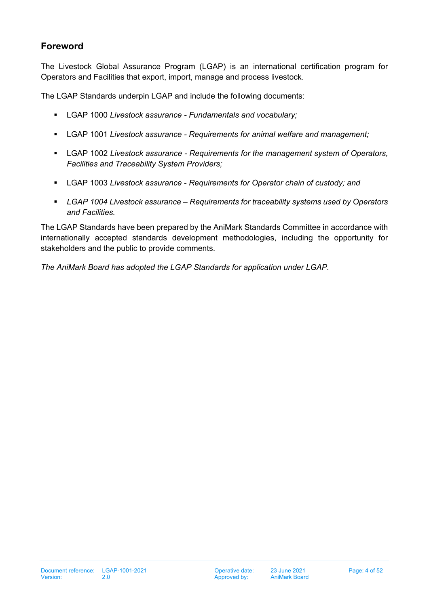## <span id="page-3-0"></span>**Foreword**

The Livestock Global Assurance Program (LGAP) is an international certification program for Operators and Facilities that export, import, manage and process livestock.

The LGAP Standards underpin LGAP and include the following documents:

- LGAP 1000 *Livestock assurance - Fundamentals and vocabulary;*
- LGAP 1001 *Livestock assurance - Requirements for animal welfare and management;*
- LGAP 1002 *Livestock assurance - Requirements for the management system of Operators, Facilities and Traceability System Providers;*
- LGAP 1003 *Livestock assurance - Requirements for Operator chain of custody; and*
- *LGAP 1004 Livestock assurance – Requirements for traceability systems used by Operators and Facilities.*

The LGAP Standards have been prepared by the AniMark Standards Committee in accordance with internationally accepted standards development methodologies, including the opportunity for stakeholders and the public to provide comments.

*The AniMark Board has adopted the LGAP Standards for application under LGAP.*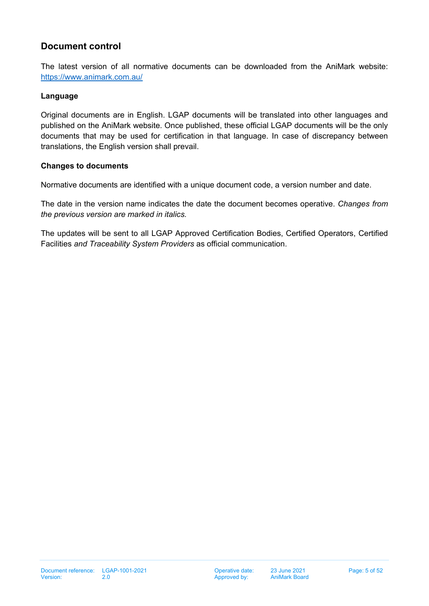## <span id="page-4-0"></span>**Document control**

The latest version of all normative documents can be downloaded from the AniMark website: <https://www.animark.com.au/>

#### **Language**

Original documents are in English. LGAP documents will be translated into other languages and published on the AniMark website. Once published, these official LGAP documents will be the only documents that may be used for certification in that language. In case of discrepancy between translations, the English version shall prevail.

#### **Changes to documents**

Normative documents are identified with a unique document code, a version number and date.

The date in the version name indicates the date the document becomes operative. *Changes from the previous version are marked in italics.* 

The updates will be sent to all LGAP Approved Certification Bodies, Certified Operators, Certified Facilities *and Traceability System Providers* as official communication.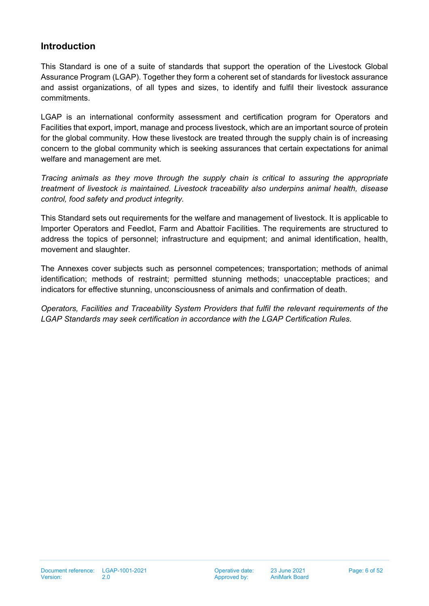## <span id="page-5-0"></span>**Introduction**

This Standard is one of a suite of standards that support the operation of the Livestock Global Assurance Program (LGAP). Together they form a coherent set of standards for livestock assurance and assist organizations, of all types and sizes, to identify and fulfil their livestock assurance commitments.

LGAP is an international conformity assessment and certification program for Operators and Facilities that export, import, manage and process livestock, which are an important source of protein for the global community. How these livestock are treated through the supply chain is of increasing concern to the global community which is seeking assurances that certain expectations for animal welfare and management are met.

*Tracing animals as they move through the supply chain is critical to assuring the appropriate treatment of livestock is maintained. Livestock traceability also underpins animal health, disease control, food safety and product integrity.*

This Standard sets out requirements for the welfare and management of livestock. It is applicable to Importer Operators and Feedlot, Farm and Abattoir Facilities. The requirements are structured to address the topics of personnel; infrastructure and equipment; and animal identification, health, movement and slaughter.

The Annexes cover subjects such as personnel competences; transportation; methods of animal identification; methods of restraint; permitted stunning methods; unacceptable practices; and indicators for effective stunning, unconsciousness of animals and confirmation of death.

*Operators, Facilities and Traceability System Providers that fulfil the relevant requirements of the LGAP Standards may seek certification in accordance with the LGAP Certification Rules.*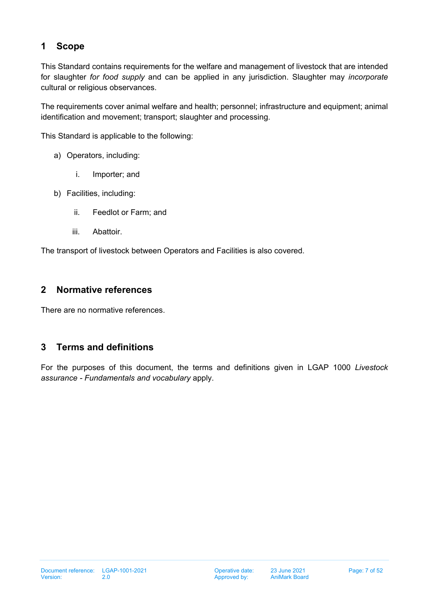# <span id="page-6-0"></span>**1 Scope**

This Standard contains requirements for the welfare and management of livestock that are intended for slaughter *for food supply* and can be applied in any jurisdiction. Slaughter may *incorporate* cultural or religious observances.

The requirements cover animal welfare and health; personnel; infrastructure and equipment; animal identification and movement; transport; slaughter and processing.

This Standard is applicable to the following:

- a) Operators, including:
	- i. Importer; and
- b) Facilities, including:
	- ii. Feedlot or Farm; and
	- iii. Abattoir.

The transport of livestock between Operators and Facilities is also covered.

## <span id="page-6-1"></span>**2 Normative references**

There are no normative references.

## <span id="page-6-2"></span>**3 Terms and definitions**

For the purposes of this document, the terms and definitions given in LGAP 1000 *Livestock assurance - Fundamentals and vocabulary* apply.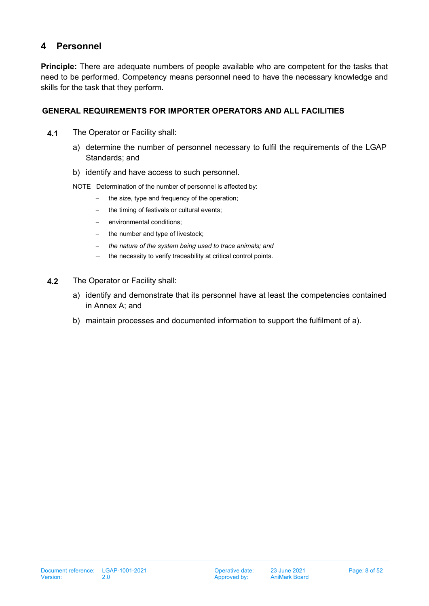# <span id="page-7-0"></span>**4 Personnel**

**Principle:** There are adequate numbers of people available who are competent for the tasks that need to be performed. Competency means personnel need to have the necessary knowledge and skills for the task that they perform.

## **GENERAL REQUIREMENTS FOR IMPORTER OPERATORS AND ALL FACILITIES**

- **4.1** The Operator or Facility shall:
	- a) determine the number of personnel necessary to fulfil the requirements of the LGAP Standards; and
	- b) identify and have access to such personnel.
	- NOTE Determination of the number of personnel is affected by:
		- − the size, type and frequency of the operation;
		- the timing of festivals or cultural events;
		- environmental conditions;
		- the number and type of livestock;
		- − *the nature of the system being used to trace animals; and*
		- − the necessity to verify traceability at critical control points.
- **4.2** The Operator or Facility shall:
	- a) identify and demonstrate that its personnel have at least the competencies contained in Annex A; and
	- b) maintain processes and documented information to support the fulfilment of a).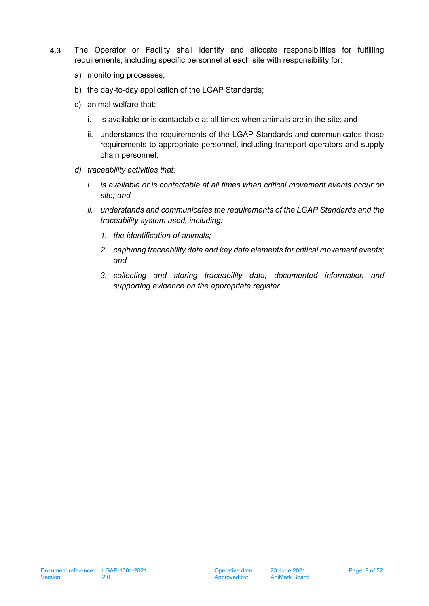- **4.3** The Operator or Facility shall identify and allocate responsibilities for fulfilling requirements, including specific personnel at each site with responsibility for:
	- a) monitoring processes;
	- b) the day-to-day application of the LGAP Standards;
	- c) animal welfare that:
		- i. is available or is contactable at all times when animals are in the site; and
		- ii. understands the requirements of the LGAP Standards and communicates those requirements to appropriate personnel, including transport operators and supply chain personnel;
	- *d) traceability activities that:*
		- *i. is available or is contactable at all times when critical movement events occur on site; and*
		- *ii. understands and communicates the requirements of the LGAP Standards and the traceability system used, including:*
			- *1. the identification of animals;*
			- *2. capturing traceability data and key data elements for critical movement events; and*
			- *3. collecting and storing traceability data, documented information and supporting evidence on the appropriate register.*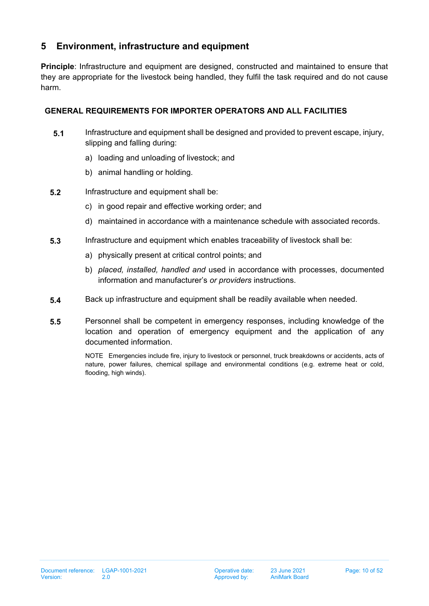## <span id="page-9-0"></span>**5 Environment, infrastructure and equipment**

**Principle**: Infrastructure and equipment are designed, constructed and maintained to ensure that they are appropriate for the livestock being handled, they fulfil the task required and do not cause harm.

## **GENERAL REQUIREMENTS FOR IMPORTER OPERATORS AND ALL FACILITIES**

- **5.1** Infrastructure and equipment shall be designed and provided to prevent escape, injury, slipping and falling during:
	- a) loading and unloading of livestock; and
	- b) animal handling or holding.
- **5.2** Infrastructure and equipment shall be:
	- c) in good repair and effective working order; and
	- d) maintained in accordance with a maintenance schedule with associated records.
- **5.3** Infrastructure and equipment which enables traceability of livestock shall be:
	- a) physically present at critical control points; and
	- b) *placed, installed, handled and* used in accordance with processes, documented information and manufacturer's *or providers* instructions.
- **5.4** Back up infrastructure and equipment shall be readily available when needed.
- **5.5** Personnel shall be competent in emergency responses, including knowledge of the location and operation of emergency equipment and the application of any documented information.

NOTE Emergencies include fire, injury to livestock or personnel, truck breakdowns or accidents, acts of nature, power failures, chemical spillage and environmental conditions (e.g. extreme heat or cold, flooding, high winds).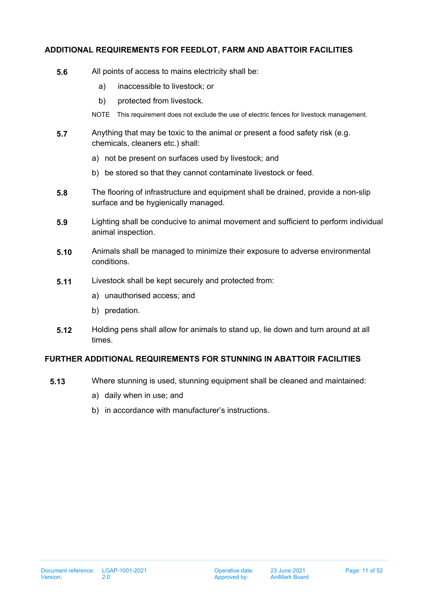## **ADDITIONAL REQUIREMENTS FOR FEEDLOT, FARM AND ABATTOIR FACILITIES**

- **5.6** All points of access to mains electricity shall be:
	- a) inaccessible to livestock; or
	- b) protected from livestock.
	- NOTE This requirement does not exclude the use of electric fences for livestock management.
- **5.7** Anything that may be toxic to the animal or present a food safety risk (e.g. chemicals, cleaners etc.) shall:
	- a) not be present on surfaces used by livestock; and
	- b) be stored so that they cannot contaminate livestock or feed.
- **5.8** The flooring of infrastructure and equipment shall be drained, provide a non-slip surface and be hygienically managed.
- **5.9** Lighting shall be conducive to animal movement and sufficient to perform individual animal inspection.
- **5.10** Animals shall be managed to minimize their exposure to adverse environmental conditions.
- **5.11** Livestock shall be kept securely and protected from:
	- a) unauthorised access; and
	- b) predation.
- **5.12** Holding pens shall allow for animals to stand up, lie down and turn around at all times.

#### **FURTHER ADDITIONAL REQUIREMENTS FOR STUNNING IN ABATTOIR FACILITIES**

- **5.13** Where stunning is used, stunning equipment shall be cleaned and maintained:
	- a) daily when in use; and
	- b) in accordance with manufacturer's instructions.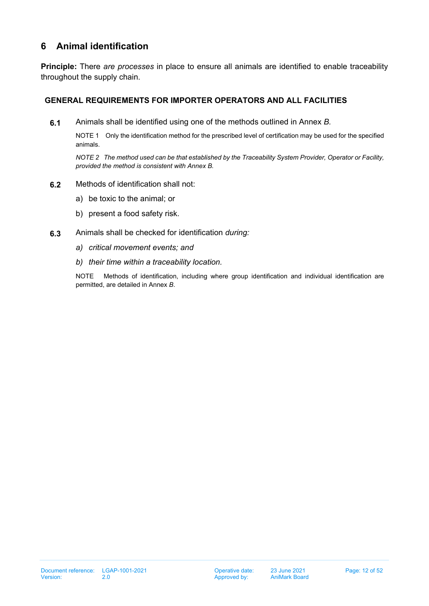## <span id="page-11-0"></span>**6 Animal identification**

**Principle:** There *are processes* in place to ensure all animals are identified to enable traceability throughout the supply chain.

## **GENERAL REQUIREMENTS FOR IMPORTER OPERATORS AND ALL FACILITIES**

**6.1** Animals shall be identified using one of the methods outlined in Annex *B.*

NOTE 1 Only the identification method for the prescribed level of certification may be used for the specified animals.

*NOTE 2 The method used can be that established by the Traceability System Provider, Operator or Facility, provided the method is consistent with Annex B.*

- **6.2** Methods of identification shall not:
	- a) be toxic to the animal; or
	- b) present a food safety risk.
- **6.3** Animals shall be checked for identification *during:*
	- *a) critical movement events; and*
	- *b) their time within a traceability location.*

NOTE Methods of identification, including where group identification and individual identification are permitted, are detailed in Annex *B*.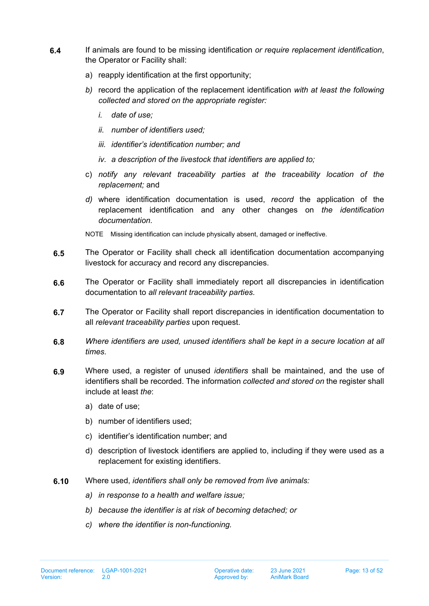- **6.4** If animals are found to be missing identification *or require replacement identification*, the Operator or Facility shall:
	- a) reapply identification at the first opportunity;
	- *b)* record the application of the replacement identification *with at least the following collected and stored on the appropriate register:*
		- *i. date of use;*
		- *ii. number of identifiers used;*
		- *iii. identifier's identification number; and*
		- *iv. a description of the livestock that identifiers are applied to;*
	- c) *notify any relevant traceability parties at the traceability location of the replacement;* and
	- *d)* where identification documentation is used, *record* the application of the replacement identification and any other changes on *the identification documentation.*

NOTE Missing identification can include physically absent, damaged or ineffective.

- **6.5** The Operator or Facility shall check all identification documentation accompanying livestock for accuracy and record any discrepancies.
- **6.6** The Operator or Facility shall immediately report all discrepancies in identification documentation to *all relevant traceability parties.*
- **6.7** The Operator or Facility shall report discrepancies in identification documentation to all *relevant traceability parties* upon request.
- **6.8** *Where identifiers are used, unused identifiers shall be kept in a secure location at all times.*
- **6.9** Where used, a register of unused *identifiers* shall be maintained, and the use of identifiers shall be recorded. The information *collected and stored on* the register shall include at least *the*:
	- a) date of use;
	- b) number of identifiers used;
	- c) identifier's identification number; and
	- d) description of livestock identifiers are applied to, including if they were used as a replacement for existing identifiers.
- **6.10** Where used, *identifiers shall only be removed from live animals:*
	- *a) in response to a health and welfare issue;*
	- *b) because the identifier is at risk of becoming detached; or*
	- *c) where the identifier is non-functioning.*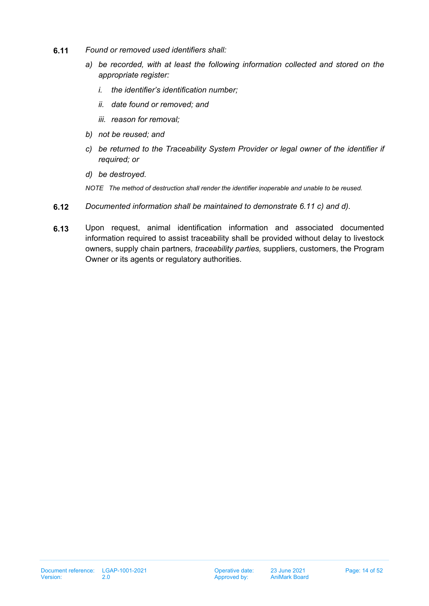- <span id="page-13-0"></span>**6.11** *Found or removed used identifiers shall:*
	- *a) be recorded, with at least the following information collected and stored on the appropriate register:*
		- *i. the identifier's identification number;*
		- *ii. date found or removed; and*
		- *iii. reason for removal;*
	- *b) not be reused; and*
	- *c) be returned to the Traceability System Provider or legal owner of the identifier if required; or*
	- *d) be destroyed.*
	- *NOTE The method of destruction shall render the identifier inoperable and unable to be reused.*
- <span id="page-13-2"></span><span id="page-13-1"></span>**6.12** *Documented information shall be maintained to demonstrate [6.11](#page-13-0) [c\)](#page-13-1) and [d\).](#page-13-2)*
- **6.13** Upon request, animal identification information and associated documented information required to assist traceability shall be provided without delay to livestock owners, supply chain partners*, traceability parties,* suppliers, customers, the Program Owner or its agents or regulatory authorities.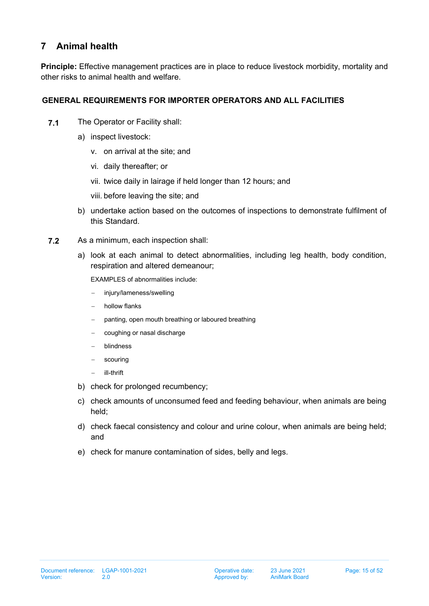## <span id="page-14-0"></span>**7 Animal health**

**Principle:** Effective management practices are in place to reduce livestock morbidity, mortality and other risks to animal health and welfare.

## **GENERAL REQUIREMENTS FOR IMPORTER OPERATORS AND ALL FACILITIES**

- **7.1** The Operator or Facility shall:
	- a) inspect livestock:
		- v. on arrival at the site; and
		- vi. daily thereafter; or
		- vii. twice daily in lairage if held longer than 12 hours; and
		- viii. before leaving the site; and
	- b) undertake action based on the outcomes of inspections to demonstrate fulfilment of this Standard.
- **7.2** As a minimum, each inspection shall:
	- a) look at each animal to detect abnormalities, including leg health, body condition, respiration and altered demeanour;

EXAMPLES of abnormalities include:

- − injury/lameness/swelling
- − hollow flanks
- panting, open mouth breathing or laboured breathing
- − coughing or nasal discharge
- − blindness
- − scouring
- − ill-thrift
- b) check for prolonged recumbency;
- c) check amounts of unconsumed feed and feeding behaviour, when animals are being held;
- d) check faecal consistency and colour and urine colour, when animals are being held; and
- e) check for manure contamination of sides, belly and legs.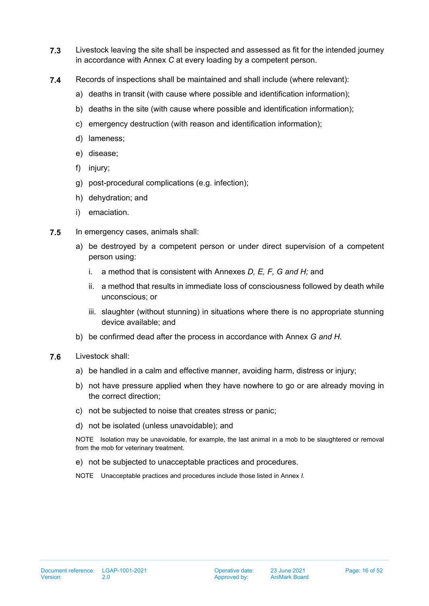- **7.3** Livestock leaving the site shall be inspected and assessed as fit for the intended journey in accordance with Annex *C* at every loading by a competent person.
- **7.4** Records of inspections shall be maintained and shall include (where relevant):
	- a) deaths in transit (with cause where possible and identification information);
	- b) deaths in the site (with cause where possible and identification information);
	- c) emergency destruction (with reason and identification information);
	- d) lameness;
	- e) disease;
	- f) injury;
	- g) post-procedural complications (e.g. infection);
	- h) dehydration; and
	- i) emaciation.
- <span id="page-15-0"></span>**7.5** In emergency cases, animals shall:
	- a) be destroyed by a competent person or under direct supervision of a competent person using:
		- i. a method that is consistent with Annexes *D, E, F, G and H;* and
		- ii. a method that results in immediate loss of consciousness followed by death while unconscious; or
		- iii. slaughter (without stunning) in situations where there is no appropriate stunning device available; and
	- b) be confirmed dead after the process in accordance with Annex *G and H.*
- **7.6** Livestock shall:
	- a) be handled in a calm and effective manner, avoiding harm, distress or injury;
	- b) not have pressure applied when they have nowhere to go or are already moving in the correct direction;
	- c) not be subjected to noise that creates stress or panic;
	- d) not be isolated (unless unavoidable); and

NOTE Isolation may be unavoidable, for example, the last animal in a mob to be slaughtered or removal from the mob for veterinary treatment.

e) not be subjected to unacceptable practices and procedures.

NOTE Unacceptable practices and procedures include those listed in Annex *I.*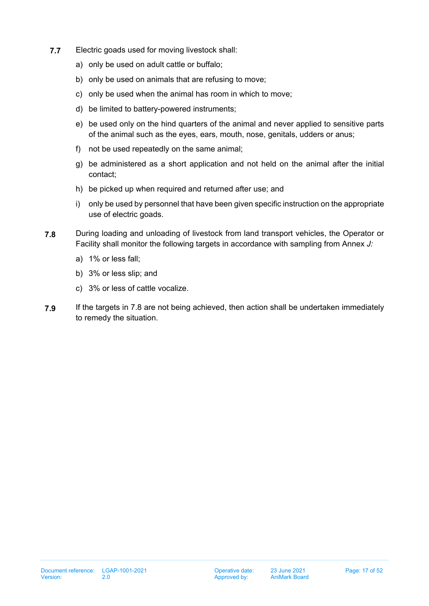- **7.7** Electric goads used for moving livestock shall:
	- a) only be used on adult cattle or buffalo;
	- b) only be used on animals that are refusing to move;
	- c) only be used when the animal has room in which to move;
	- d) be limited to battery-powered instruments;
	- e) be used only on the hind quarters of the animal and never applied to sensitive parts of the animal such as the eyes, ears, mouth, nose, genitals, udders or anus;
	- f) not be used repeatedly on the same animal;
	- g) be administered as a short application and not held on the animal after the initial contact;
	- h) be picked up when required and returned after use; and
	- i) only be used by personnel that have been given specific instruction on the appropriate use of electric goads.
- <span id="page-16-0"></span>**7.8** During loading and unloading of livestock from land transport vehicles, the Operator or Facility shall monitor the following targets in accordance with sampling from Annex *J:*
	- a) 1% or less fall;
	- b) 3% or less slip; and
	- c) 3% or less of cattle vocalize.
- **7.9** If the targets in [7.8](#page-16-0) are not being achieved, then action shall be undertaken immediately to remedy the situation.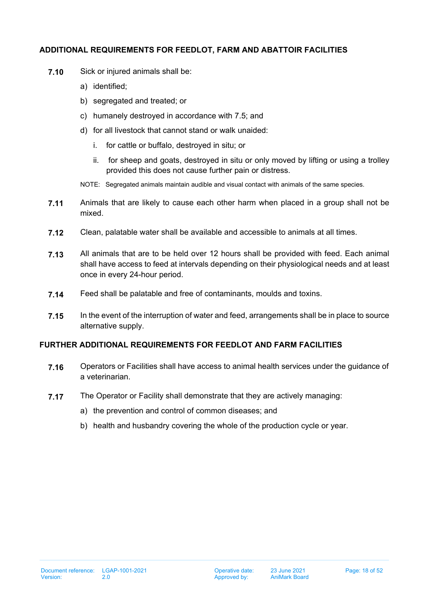#### **ADDITIONAL REQUIREMENTS FOR FEEDLOT, FARM AND ABATTOIR FACILITIES**

- **7.10** Sick or injured animals shall be:
	- a) identified;
	- b) segregated and treated; or
	- c) humanely destroyed in accordance with [7.5;](#page-15-0) and
	- d) for all livestock that cannot stand or walk unaided:
		- i. for cattle or buffalo, destroyed in situ; or
		- ii. for sheep and goats, destroyed in situ or only moved by lifting or using a trolley provided this does not cause further pain or distress.
	- NOTE: Segregated animals maintain audible and visual contact with animals of the same species.
- **7.11** Animals that are likely to cause each other harm when placed in a group shall not be mixed.
- **7.12** Clean, palatable water shall be available and accessible to animals at all times.
- **7.13** All animals that are to be held over 12 hours shall be provided with feed. Each animal shall have access to feed at intervals depending on their physiological needs and at least once in every 24-hour period.
- **7.14** Feed shall be palatable and free of contaminants, moulds and toxins.
- **7.15** In the event of the interruption of water and feed, arrangements shall be in place to source alternative supply.

## **FURTHER ADDITIONAL REQUIREMENTS FOR FEEDLOT AND FARM FACILITIES**

- **7.16** Operators or Facilities shall have access to animal health services under the guidance of a veterinarian.
- **7.17** The Operator or Facility shall demonstrate that they are actively managing:
	- a) the prevention and control of common diseases; and
	- b) health and husbandry covering the whole of the production cycle or year.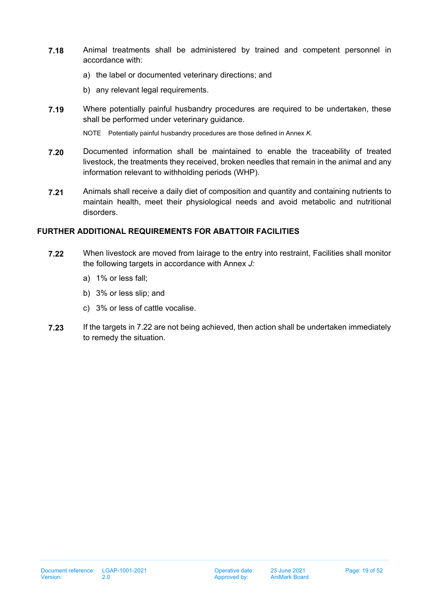- **7.18** Animal treatments shall be administered by trained and competent personnel in accordance with:
	- a) the label or documented veterinary directions; and
	- b) any relevant legal requirements.
- **7.19** Where potentially painful husbandry procedures are required to be undertaken, these shall be performed under veterinary guidance.

NOTE Potentially painful husbandry procedures are those defined in Annex *K*.

- **7.20** Documented information shall be maintained to enable the traceability of treated livestock, the treatments they received, broken needles that remain in the animal and any information relevant to withholding periods (WHP).
- **7.21** Animals shall receive a daily diet of composition and quantity and containing nutrients to maintain health, meet their physiological needs and avoid metabolic and nutritional disorders.

## **FURTHER ADDITIONAL REQUIREMENTS FOR ABATTOIR FACILITIES**

- <span id="page-18-0"></span>**7.22** When livestock are moved from lairage to the entry into restraint, Facilities shall monitor the following targets in accordance with Annex *J:*
	- a) 1% or less fall;
	- b) 3% or less slip; and
	- c) 3% or less of cattle vocalise.
- **7.23** If the targets in [7.22](#page-18-0) are not being achieved, then action shall be undertaken immediately to remedy the situation.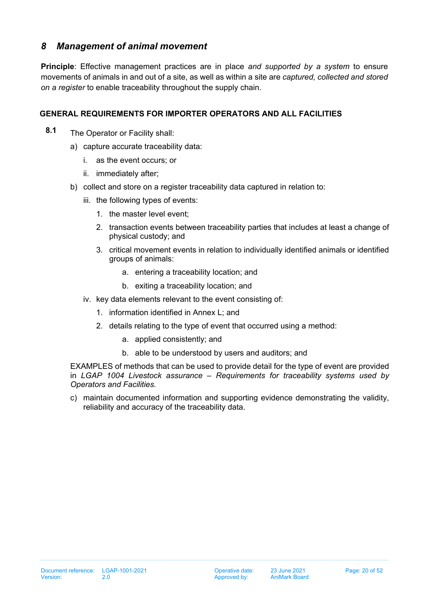## <span id="page-19-0"></span>*8 Management of animal movement*

**Principle**: Effective management practices are in place *and supported by a system* to ensure movements of animals in and out of a site, as well as within a site are *captured, collected and stored on a register* to enable traceability throughout the supply chain.

## **GENERAL REQUIREMENTS FOR IMPORTER OPERATORS AND ALL FACILITIES**

- **8.1** The Operator or Facility shall:
	- a) capture accurate traceability data:
		- i. as the event occurs; or
		- ii. immediately after;
	- b) collect and store on a register traceability data captured in relation to:
		- iii. the following types of events:
			- 1. the master level event;
			- 2. transaction events between traceability parties that includes at least a change of physical custody; and
			- 3. critical movement events in relation to individually identified animals or identified groups of animals:
				- a. entering a traceability location; and
				- b. exiting a traceability location; and
		- iv. key data elements relevant to the event consisting of:
			- 1. information identified in Annex L; and
			- 2. details relating to the type of event that occurred using a method:
				- a. applied consistently; and
				- b. able to be understood by users and auditors; and

EXAMPLES of methods that can be used to provide detail for the type of event are provided in *LGAP 1004 Livestock assurance – Requirements for traceability systems used by Operators and Facilities.*

c) maintain documented information and supporting evidence demonstrating the validity, reliability and accuracy of the traceability data.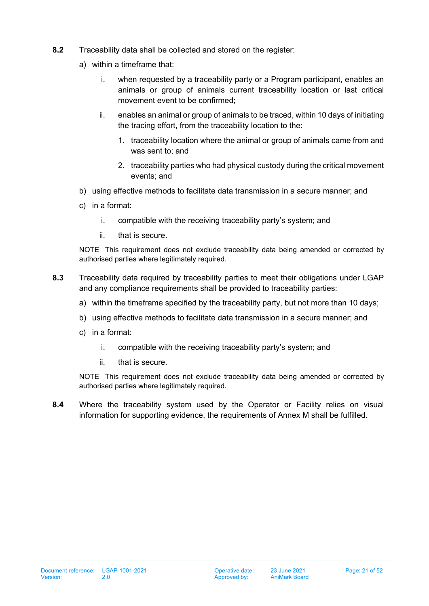- **8.2** Traceability data shall be collected and stored on the register:
	- a) within a timeframe that:
		- i. when requested by a traceability party or a Program participant, enables an animals or group of animals current traceability location or last critical movement event to be confirmed;
		- ii. enables an animal or group of animals to be traced, within 10 days of initiating the tracing effort, from the traceability location to the:
			- 1. traceability location where the animal or group of animals came from and was sent to; and
			- 2. traceability parties who had physical custody during the critical movement events; and
	- b) using effective methods to facilitate data transmission in a secure manner; and
	- c) in a format:
		- i. compatible with the receiving traceability party's system; and
		- ii. that is secure.

NOTE This requirement does not exclude traceability data being amended or corrected by authorised parties where legitimately required.

- **8.3** Traceability data required by traceability parties to meet their obligations under LGAP and any compliance requirements shall be provided to traceability parties:
	- a) within the timeframe specified by the traceability party, but not more than 10 days;
	- b) using effective methods to facilitate data transmission in a secure manner; and
	- c) in a format:
		- i. compatible with the receiving traceability party's system; and
		- ii. that is secure.

NOTE This requirement does not exclude traceability data being amended or corrected by authorised parties where legitimately required.

**8.4** Where the traceability system used by the Operator or Facility relies on visual information for supporting evidence, the requirements of Annex M shall be fulfilled.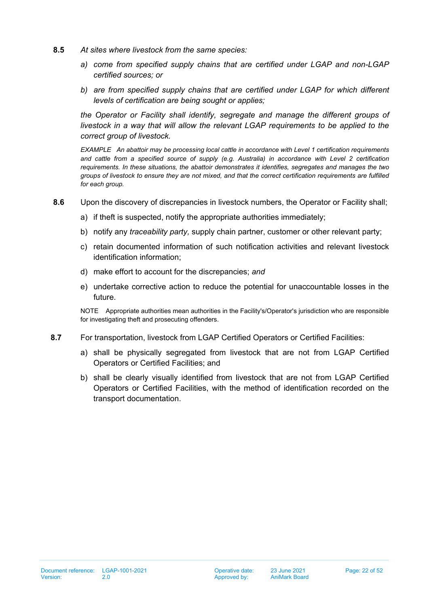- **8.5** *At sites where livestock from the same species:*
	- *a) come from specified supply chains that are certified under LGAP and non-LGAP certified sources; or*
	- *b) are from specified supply chains that are certified under LGAP for which different levels of certification are being sought or applies;*

*the Operator or Facility shall identify, segregate and manage the different groups of livestock in a way that will allow the relevant LGAP requirements to be applied to the correct group of livestock.*

*EXAMPLE An abattoir may be processing local cattle in accordance with Level 1 certification requirements and cattle from a specified source of supply (e.g. Australia) in accordance with Level 2 certification requirements. In these situations, the abattoir demonstrates it identifies, segregates and manages the two groups of livestock to ensure they are not mixed, and that the correct certification requirements are fulfilled for each group.*

- **8.6** Upon the discovery of discrepancies in livestock numbers, the Operator or Facility shall;
	- a) if theft is suspected, notify the appropriate authorities immediately;
	- b) notify any *traceability party,* supply chain partner, customer or other relevant party;
	- c) retain documented information of such notification activities and relevant livestock identification information;
	- d) make effort to account for the discrepancies; *and*
	- e) undertake corrective action to reduce the potential for unaccountable losses in the future.

NOTE Appropriate authorities mean authorities in the Facility's/Operator's jurisdiction who are responsible for investigating theft and prosecuting offenders.

- **8.7** For transportation, livestock from LGAP Certified Operators or Certified Facilities:
	- a) shall be physically segregated from livestock that are not from LGAP Certified Operators or Certified Facilities; and
	- b) shall be clearly visually identified from livestock that are not from LGAP Certified Operators or Certified Facilities, with the method of identification recorded on the transport documentation.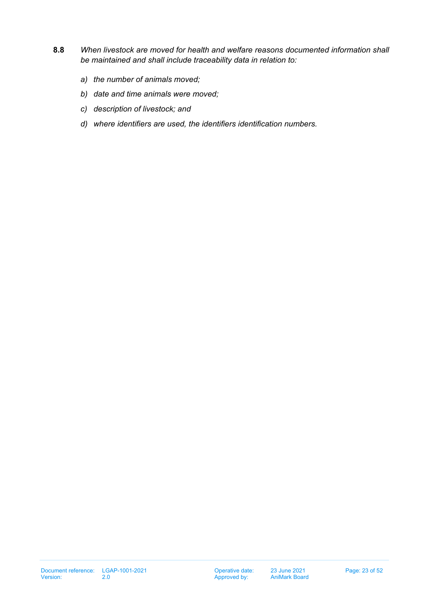- **8.8** *When livestock are moved for health and welfare reasons documented information shall be maintained and shall include traceability data in relation to:*
	- *a) the number of animals moved;*
	- *b) date and time animals were moved;*
	- *c) description of livestock; and*
	- *d) where identifiers are used, the identifiers identification numbers.*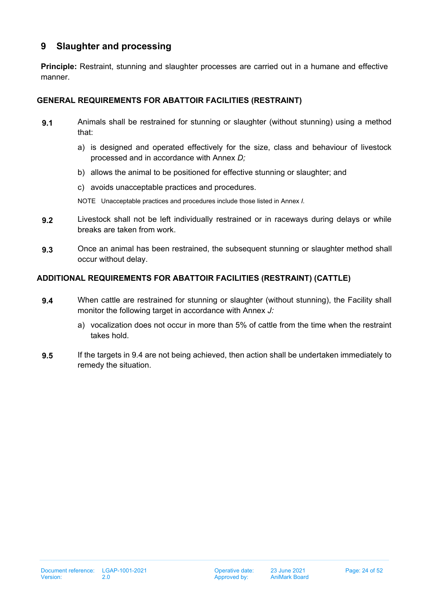## <span id="page-23-0"></span>**9 Slaughter and processing**

**Principle:** Restraint, stunning and slaughter processes are carried out in a humane and effective manner.

## **GENERAL REQUIREMENTS FOR ABATTOIR FACILITIES (RESTRAINT)**

- **9.1** Animals shall be restrained for stunning or slaughter (without stunning) using a method that:
	- a) is designed and operated effectively for the size, class and behaviour of livestock processed and in accordance with Annex *D;*
	- b) allows the animal to be positioned for effective stunning or slaughter; and
	- c) avoids unacceptable practices and procedures.

NOTE Unacceptable practices and procedures include those listed in Annex *I.*

- **9.2** Livestock shall not be left individually restrained or in raceways during delays or while breaks are taken from work.
- **9.3** Once an animal has been restrained, the subsequent stunning or slaughter method shall occur without delay.

## **ADDITIONAL REQUIREMENTS FOR ABATTOIR FACILITIES (RESTRAINT) (CATTLE)**

- <span id="page-23-1"></span>**9.4** When cattle are restrained for stunning or slaughter (without stunning), the Facility shall monitor the following target in accordance with Annex *J:*
	- a) vocalization does not occur in more than 5% of cattle from the time when the restraint takes hold.
- **9.5** If the targets in [9.4](#page-23-1) are not being achieved, then action shall be undertaken immediately to remedy the situation.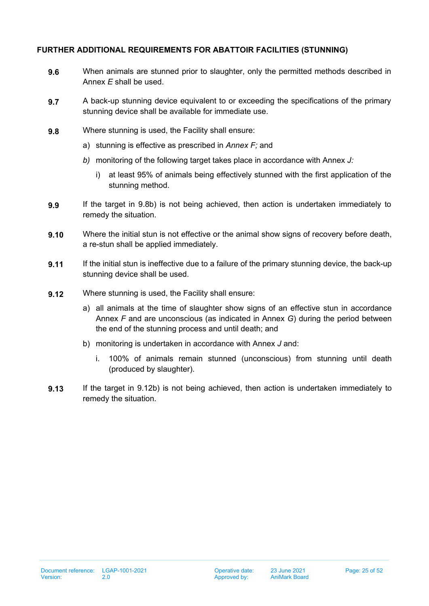#### **FURTHER ADDITIONAL REQUIREMENTS FOR ABATTOIR FACILITIES (STUNNING)**

- **9.6** When animals are stunned prior to slaughter, only the permitted methods described in Annex *E* shall be used.
- **9.7** A back-up stunning device equivalent to or exceeding the specifications of the primary stunning device shall be available for immediate use.
- <span id="page-24-1"></span><span id="page-24-0"></span>**9.8** Where stunning is used, the Facility shall ensure:
	- a) stunning is effective as prescribed in *Annex F;* and
	- *b)* monitoring of the following target takes place in accordance with Annex *J:*
		- i) at least 95% of animals being effectively stunned with the first application of the stunning method.
- **9.9** If the target in [9.8](#page-24-0)[b\)](#page-24-1) is not being achieved, then action is undertaken immediately to remedy the situation.
- **9.10** Where the initial stun is not effective or the animal show signs of recovery before death, a re-stun shall be applied immediately.
- **9.11** If the initial stun is ineffective due to a failure of the primary stunning device, the back-up stunning device shall be used.
- <span id="page-24-2"></span>**9.12** Where stunning is used, the Facility shall ensure:
	- a) all animals at the time of slaughter show signs of an effective stun in accordance Annex *F* and are unconscious (as indicated in Annex *G*) during the period between the end of the stunning process and until death; and
	- b) monitoring is undertaken in accordance with Annex *J* and:
		- i. 100% of animals remain stunned (unconscious) from stunning until death (produced by slaughter).
- <span id="page-24-3"></span>**9.13** If the target in [9.12](#page-24-2)[b\)](#page-24-3) is not being achieved, then action is undertaken immediately to remedy the situation.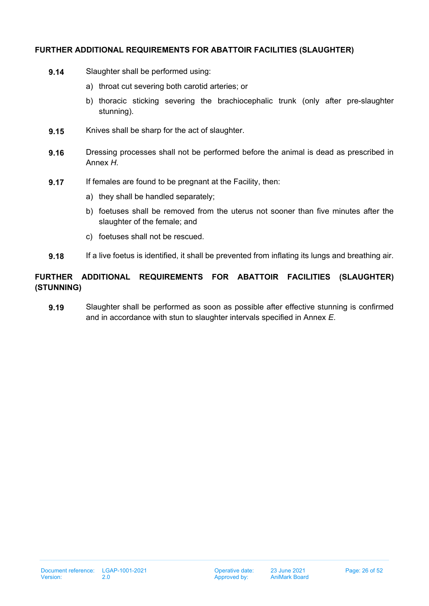#### **FURTHER ADDITIONAL REQUIREMENTS FOR ABATTOIR FACILITIES (SLAUGHTER)**

- **9.14** Slaughter shall be performed using:
	- a) throat cut severing both carotid arteries; or
	- b) thoracic sticking severing the brachiocephalic trunk (only after pre-slaughter stunning).
- **9.15** Knives shall be sharp for the act of slaughter.
- **9.16** Dressing processes shall not be performed before the animal is dead as prescribed in Annex *H.*
- **9.17** If females are found to be pregnant at the Facility, then:
	- a) they shall be handled separately;
	- b) foetuses shall be removed from the uterus not sooner than five minutes after the slaughter of the female; and
	- c) foetuses shall not be rescued.
- **9.18** If a live foetus is identified, it shall be prevented from inflating its lungs and breathing air.

## **FURTHER ADDITIONAL REQUIREMENTS FOR ABATTOIR FACILITIES (SLAUGHTER) (STUNNING)**

**9.19** Slaughter shall be performed as soon as possible after effective stunning is confirmed and in accordance with stun to slaughter intervals specified in Annex *E*.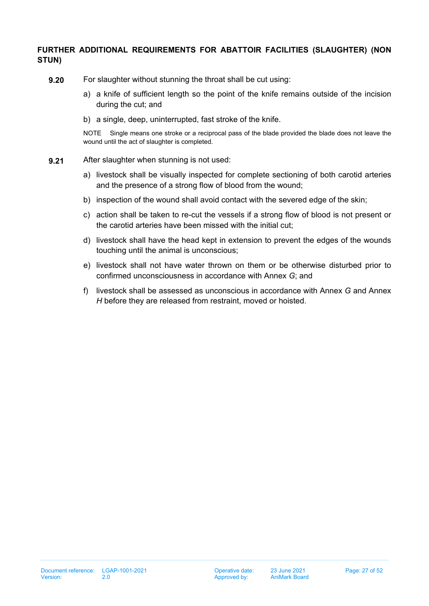## **FURTHER ADDITIONAL REQUIREMENTS FOR ABATTOIR FACILITIES (SLAUGHTER) (NON STUN)**

- **9.20** For slaughter without stunning the throat shall be cut using:
	- a) a knife of sufficient length so the point of the knife remains outside of the incision during the cut; and
	- b) a single, deep, uninterrupted, fast stroke of the knife.

NOTE Single means one stroke or a reciprocal pass of the blade provided the blade does not leave the wound until the act of slaughter is completed.

- **9.21** After slaughter when stunning is not used:
	- a) livestock shall be visually inspected for complete sectioning of both carotid arteries and the presence of a strong flow of blood from the wound;
	- b) inspection of the wound shall avoid contact with the severed edge of the skin;
	- c) action shall be taken to re-cut the vessels if a strong flow of blood is not present or the carotid arteries have been missed with the initial cut;
	- d) livestock shall have the head kept in extension to prevent the edges of the wounds touching until the animal is unconscious;
	- e) livestock shall not have water thrown on them or be otherwise disturbed prior to confirmed unconsciousness in accordance with Annex *G*; and
	- f) livestock shall be assessed as unconscious in accordance with Annex *G* and Annex *H* before they are released from restraint, moved or hoisted.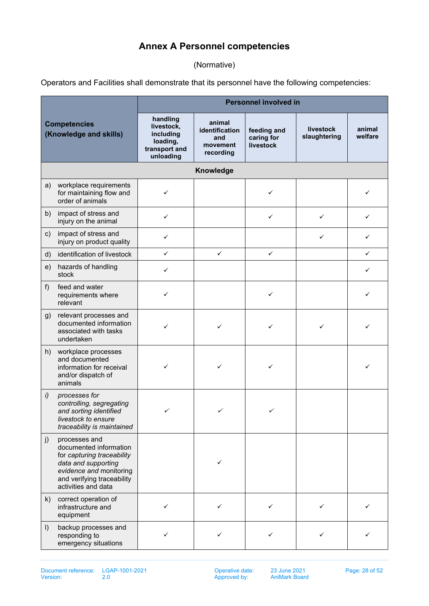# **Annex A Personnel competencies**

(Normative)

<span id="page-27-0"></span>Operators and Facilities shall demonstrate that its personnel have the following competencies:

|                                               |                                                                                                                                                                              | <b>Personnel involved in</b>                                                  |                                                          |                                        |                                  |                   |  |
|-----------------------------------------------|------------------------------------------------------------------------------------------------------------------------------------------------------------------------------|-------------------------------------------------------------------------------|----------------------------------------------------------|----------------------------------------|----------------------------------|-------------------|--|
| <b>Competencies</b><br>(Knowledge and skills) |                                                                                                                                                                              | handling<br>livestock,<br>including<br>loading,<br>transport and<br>unloading | animal<br>identification<br>and<br>movement<br>recording | feeding and<br>caring for<br>livestock | <b>livestock</b><br>slaughtering | animal<br>welfare |  |
|                                               |                                                                                                                                                                              |                                                                               | Knowledge                                                |                                        |                                  |                   |  |
| a)                                            | workplace requirements<br>for maintaining flow and<br>order of animals                                                                                                       | ✓                                                                             |                                                          | ✓                                      |                                  | ✓                 |  |
| b)                                            | impact of stress and<br>injury on the animal                                                                                                                                 | ✓                                                                             |                                                          | ✓                                      | $\checkmark$                     | ✓                 |  |
| C)                                            | impact of stress and<br>injury on product quality                                                                                                                            | ✓                                                                             |                                                          |                                        | ✓                                | ✓                 |  |
| d)                                            | identification of livestock                                                                                                                                                  | $\checkmark$                                                                  | $\checkmark$                                             | $\checkmark$                           |                                  | ✓                 |  |
| e)                                            | hazards of handling<br>stock                                                                                                                                                 | ✓                                                                             |                                                          |                                        |                                  | ✓                 |  |
| $f$ )                                         | feed and water<br>requirements where<br>relevant                                                                                                                             | ✓                                                                             |                                                          | ✓                                      |                                  | ✓                 |  |
| g)                                            | relevant processes and<br>documented information<br>associated with tasks<br>undertaken                                                                                      | ✓                                                                             | ✓                                                        | ✓                                      | ✓                                |                   |  |
| h)                                            | workplace processes<br>and documented<br>information for receival<br>and/or dispatch of<br>animals                                                                           | ✓                                                                             | ✓                                                        | ✓                                      |                                  |                   |  |
| i)                                            | processes for<br>controlling, segregating<br>and sorting identified<br>livestock to ensure<br>traceability is maintained                                                     | ✓                                                                             | ✓                                                        |                                        |                                  |                   |  |
| j)                                            | processes and<br>documented information<br>for capturing traceability<br>data and supporting<br>evidence and monitoring<br>and verifying traceability<br>activities and data |                                                                               | ✓                                                        |                                        |                                  |                   |  |
| k)                                            | correct operation of<br>infrastructure and<br>equipment                                                                                                                      | ✓                                                                             | ✓                                                        | ✓                                      | ✓                                | ✓                 |  |
| $\vert$                                       | backup processes and<br>responding to<br>emergency situations                                                                                                                | ✓                                                                             | ✓                                                        | ✓                                      | ✓                                |                   |  |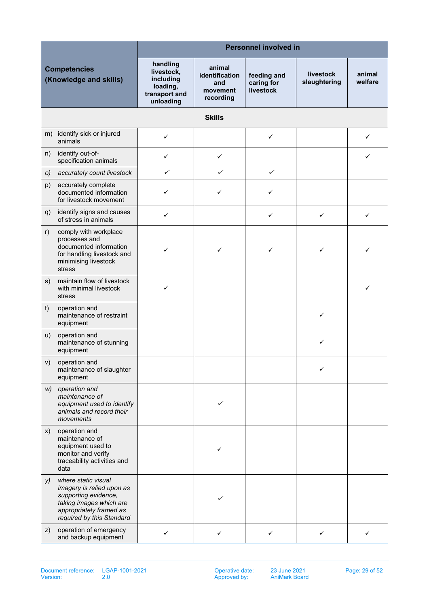| <b>Competencies</b><br>(Knowledge and skills) |                                                                                                                                                             | <b>Personnel involved in</b>                                                  |                                                          |                                        |                                  |                   |  |  |  |
|-----------------------------------------------|-------------------------------------------------------------------------------------------------------------------------------------------------------------|-------------------------------------------------------------------------------|----------------------------------------------------------|----------------------------------------|----------------------------------|-------------------|--|--|--|
|                                               |                                                                                                                                                             | handling<br>livestock,<br>including<br>loading,<br>transport and<br>unloading | animal<br>identification<br>and<br>movement<br>recording | feeding and<br>caring for<br>livestock | <b>livestock</b><br>slaughtering | animal<br>welfare |  |  |  |
|                                               |                                                                                                                                                             |                                                                               | <b>Skills</b>                                            |                                        |                                  |                   |  |  |  |
|                                               | m) identify sick or injured<br>animals                                                                                                                      | $\checkmark$                                                                  |                                                          | $\checkmark$                           |                                  | ✓                 |  |  |  |
| n)                                            | identify out-of-<br>specification animals                                                                                                                   | $\checkmark$                                                                  | $\checkmark$                                             |                                        |                                  |                   |  |  |  |
| O)                                            | accurately count livestock                                                                                                                                  | ✓                                                                             | ✓                                                        | ✓                                      |                                  |                   |  |  |  |
| p)                                            | accurately complete<br>documented information<br>for livestock movement                                                                                     | ✓                                                                             | ✓                                                        | ✓                                      |                                  |                   |  |  |  |
| q)                                            | identify signs and causes<br>of stress in animals                                                                                                           | ✓                                                                             |                                                          | ✓                                      | $\checkmark$                     | ✓                 |  |  |  |
| r)                                            | comply with workplace<br>processes and<br>documented information<br>for handling livestock and<br>minimising livestock<br>stress                            | ✓                                                                             | ✓                                                        | ✓                                      | ✓                                | ✓                 |  |  |  |
| s)                                            | maintain flow of livestock<br>with minimal livestock<br>stress                                                                                              | ✓                                                                             |                                                          |                                        |                                  | ✓                 |  |  |  |
| t)                                            | operation and<br>maintenance of restraint<br>equipment                                                                                                      |                                                                               |                                                          |                                        | ✓                                |                   |  |  |  |
| u)                                            | operation and<br>maintenance of stunning<br>equipment                                                                                                       |                                                                               |                                                          |                                        | ✓                                |                   |  |  |  |
|                                               | v) operation and<br>maintenance of slaughter<br>equipment                                                                                                   |                                                                               |                                                          |                                        | ✓                                |                   |  |  |  |
| W)                                            | operation and<br>maintenance of<br>equipment used to identify<br>animals and record their<br>movements                                                      |                                                                               |                                                          |                                        |                                  |                   |  |  |  |
| X)                                            | operation and<br>maintenance of<br>equipment used to<br>monitor and verify<br>traceability activities and<br>data                                           |                                                                               | ✓                                                        |                                        |                                  |                   |  |  |  |
| y)                                            | where static visual<br>imagery is relied upon as<br>supporting evidence,<br>taking images which are<br>appropriately framed as<br>required by this Standard |                                                                               |                                                          |                                        |                                  |                   |  |  |  |
| Z)                                            | operation of emergency<br>and backup equipment                                                                                                              | ✓                                                                             | ✓                                                        | ✓                                      | ✓                                |                   |  |  |  |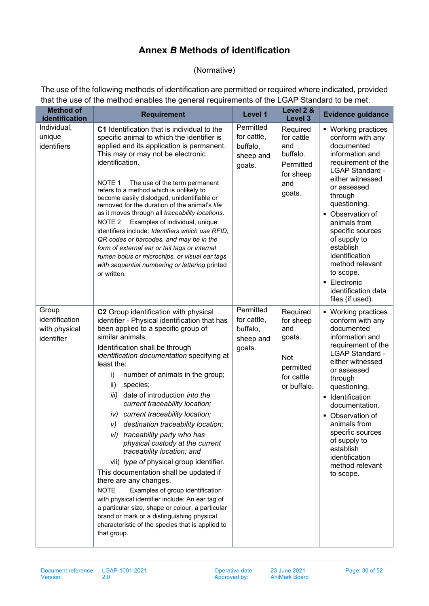# **Annex** *B* **Methods of identification**

## (Normative)

<span id="page-29-0"></span>The use of the following methods of identification are permitted or required where indicated, provided that the use of the method enables the general requirements of the LGAP Standard to be met.

| <b>Method of</b><br>identification                     | <b>Requirement</b>                                                                                                                                                                                                                                                                                                                                                                                                                                                                                                                                                                                                                                                                                                                                                                                                                                                                                                                                                     | Level 1                                                     | Level 2 &<br>Level <sub>3</sub>                                                         | <b>Evidence guidance</b>                                                                                                                                                                                                                                                                                                                                                                 |
|--------------------------------------------------------|------------------------------------------------------------------------------------------------------------------------------------------------------------------------------------------------------------------------------------------------------------------------------------------------------------------------------------------------------------------------------------------------------------------------------------------------------------------------------------------------------------------------------------------------------------------------------------------------------------------------------------------------------------------------------------------------------------------------------------------------------------------------------------------------------------------------------------------------------------------------------------------------------------------------------------------------------------------------|-------------------------------------------------------------|-----------------------------------------------------------------------------------------|------------------------------------------------------------------------------------------------------------------------------------------------------------------------------------------------------------------------------------------------------------------------------------------------------------------------------------------------------------------------------------------|
| Individual,<br>unique<br>identifiers                   | C1 Identification that is individual to the<br>specific animal to which the identifier is<br>applied and its application is permanent.<br>This may or may not be electronic<br>identification.<br>NOTE 1<br>The use of the term permanent<br>refers to a method which is unlikely to<br>become easily dislodged, unidentifiable or<br>removed for the duration of the animal's life<br>as it moves through all traceability locations.<br>NOTE <sub>2</sub><br>Examples of individual, unique<br>identifiers include: Identifiers which use RFID,<br>QR codes or barcodes, and may be in the<br>form of external ear or tail tags or internal<br>rumen bolus or microchips, or visual ear tags<br>with sequential numbering or lettering printed<br>or written.                                                                                                                                                                                                        | Permitted<br>for cattle,<br>buffalo,<br>sheep and<br>goats. | Required<br>for cattle<br>and<br>buffalo.<br>Permitted<br>for sheep<br>and<br>goats.    | ■ Working practices<br>conform with any<br>documented<br>information and<br>requirement of the<br><b>LGAP Standard -</b><br>either witnessed<br>or assessed<br>through<br>questioning.<br>• Observation of<br>animals from<br>specific sources<br>of supply to<br>establish<br>identification<br>method relevant<br>to scope.<br>• Electronic<br>identification data<br>files (if used). |
| Group<br>identification<br>with physical<br>identifier | C2 Group identification with physical<br>identifier - Physical identification that has<br>been applied to a specific group of<br>similar animals.<br>Identification shall be through<br>identification documentation specifying at<br>least the:<br>i)<br>number of animals in the group;<br>species;<br>ii)<br>date of introduction into the<br>iii)<br>current traceability location;<br>iv) current traceability location;<br>destination traceability location;<br>V)<br>vi) traceability party who has<br>physical custody at the current<br>traceability location; and<br>vii) type of physical group identifier.<br>This documentation shall be updated if<br>there are any changes.<br><b>NOTE</b><br>Examples of group identification<br>with physical identifier include: An ear tag of<br>a particular size, shape or colour, a particular<br>brand or mark or a distinguishing physical<br>characteristic of the species that is applied to<br>that group. | Permitted<br>for cattle,<br>buffalo,<br>sheep and<br>goats. | Required<br>for sheep<br>and<br>goats.<br>Not<br>permitted<br>for cattle<br>or buffalo. | • Working practices<br>conform with any<br>documented<br>information and<br>requirement of the<br><b>LGAP Standard -</b><br>either witnessed<br>or assessed<br>through<br>questioning.<br>• Identification<br>documentation.<br>• Observation of<br>animals from<br>specific sources<br>of supply to<br>establish<br>identification<br>method relevant<br>to scope.                      |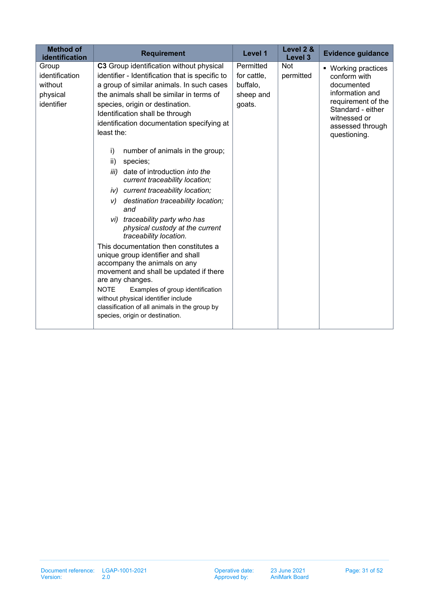| <b>Method of</b><br>identification                           | <b>Requirement</b>                                                                                                                                                                                                                                                                                                                                                                                                                                                                                                                                                                                                                                                                                                                                                                                                                                                                                                                                                                                              | Level 1                                                     | Level 2 &<br>Level 3    | <b>Evidence guidance</b>                                                                                                                                            |
|--------------------------------------------------------------|-----------------------------------------------------------------------------------------------------------------------------------------------------------------------------------------------------------------------------------------------------------------------------------------------------------------------------------------------------------------------------------------------------------------------------------------------------------------------------------------------------------------------------------------------------------------------------------------------------------------------------------------------------------------------------------------------------------------------------------------------------------------------------------------------------------------------------------------------------------------------------------------------------------------------------------------------------------------------------------------------------------------|-------------------------------------------------------------|-------------------------|---------------------------------------------------------------------------------------------------------------------------------------------------------------------|
| Group<br>identification<br>without<br>physical<br>identifier | C3 Group identification without physical<br>identifier - Identification that is specific to<br>a group of similar animals. In such cases<br>the animals shall be similar in terms of<br>species, origin or destination.<br>Identification shall be through<br>identification documentation specifying at<br>least the:<br>number of animals in the group;<br>i)<br>ii)<br>species;<br>date of introduction into the<br>iii)<br>current traceability location;<br>iv) current traceability location;<br>destination traceability location;<br>V)<br>and<br>vi) traceability party who has<br>physical custody at the current<br>traceability location.<br>This documentation then constitutes a<br>unique group identifier and shall<br>accompany the animals on any<br>movement and shall be updated if there<br>are any changes.<br><b>NOTE</b><br>Examples of group identification<br>without physical identifier include<br>classification of all animals in the group by<br>species, origin or destination. | Permitted<br>for cattle,<br>buffalo,<br>sheep and<br>goats. | <b>Not</b><br>permitted | ■ Working practices<br>conform with<br>documented<br>information and<br>requirement of the<br>Standard - either<br>witnessed or<br>assessed through<br>questioning. |
|                                                              |                                                                                                                                                                                                                                                                                                                                                                                                                                                                                                                                                                                                                                                                                                                                                                                                                                                                                                                                                                                                                 |                                                             |                         |                                                                                                                                                                     |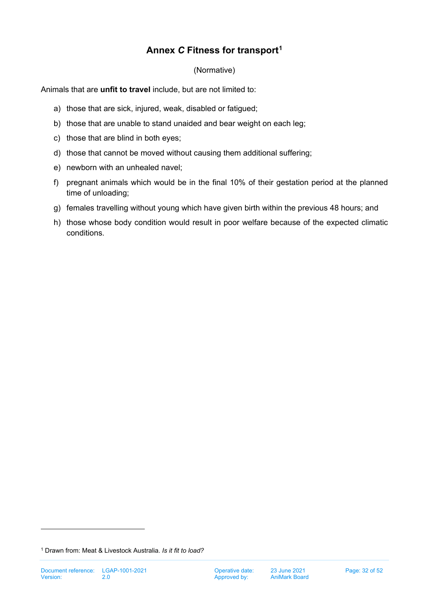# **Annex** *C* **Fitness for transport[1](#page-31-1)**

(Normative)

<span id="page-31-0"></span>Animals that are **unfit to travel** include, but are not limited to:

- a) those that are sick, injured, weak, disabled or fatigued;
- b) those that are unable to stand unaided and bear weight on each leg;
- c) those that are blind in both eyes;
- d) those that cannot be moved without causing them additional suffering;
- e) newborn with an unhealed navel;
- f) pregnant animals which would be in the final 10% of their gestation period at the planned time of unloading;
- g) females travelling without young which have given birth within the previous 48 hours; and
- h) those whose body condition would result in poor welfare because of the expected climatic conditions.

<span id="page-31-1"></span><sup>1</sup> Drawn from: Meat & Livestock Australia. *Is it fit to load?*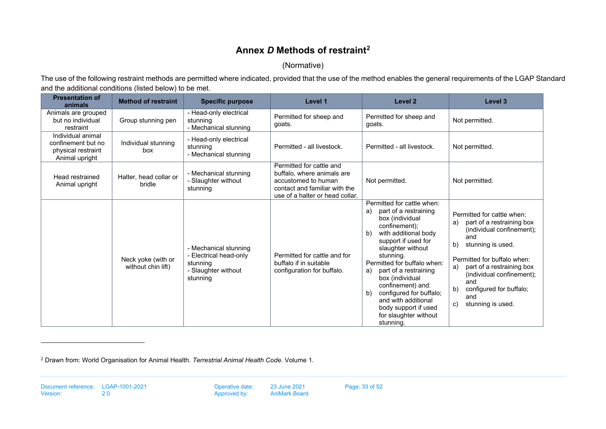# **Annex** *D* **Methods of restrain[t2](#page-32-1)**

#### <span id="page-32-1"></span>(Normative)

The use of the following restraint methods are permitted where indicated, provided that the use of the method enables the general requirements of the LGAP Standard and the additional conditions (listed below) to be met.

<span id="page-32-0"></span>

| <b>Presentation of</b><br>animals                                               | <b>Method of restraint</b>               | <b>Specific purpose</b>                                                                        | Level 1                                                                                                                                           | Level <sub>2</sub>                                                                                                                                                                                                                                                                                                                                                                                                         | Level 3                                                                                                                                                                                                                                                                                               |
|---------------------------------------------------------------------------------|------------------------------------------|------------------------------------------------------------------------------------------------|---------------------------------------------------------------------------------------------------------------------------------------------------|----------------------------------------------------------------------------------------------------------------------------------------------------------------------------------------------------------------------------------------------------------------------------------------------------------------------------------------------------------------------------------------------------------------------------|-------------------------------------------------------------------------------------------------------------------------------------------------------------------------------------------------------------------------------------------------------------------------------------------------------|
| Animals are grouped<br>but no individual<br>restraint                           | Group stunning pen                       | - Head-only electrical<br>stunning<br>- Mechanical stunning                                    | Permitted for sheep and<br>goats.                                                                                                                 | Permitted for sheep and<br>qoats.                                                                                                                                                                                                                                                                                                                                                                                          | Not permitted.                                                                                                                                                                                                                                                                                        |
| Individual animal<br>confinement but no<br>physical restraint<br>Animal upright | Individual stunning<br>box               | - Head-only electrical<br>stunning<br>- Mechanical stunning                                    | Permitted - all livestock.                                                                                                                        | Permitted - all livestock.                                                                                                                                                                                                                                                                                                                                                                                                 | Not permitted.                                                                                                                                                                                                                                                                                        |
| Head restrained<br>Animal upright                                               | Halter, head collar or<br>bridle         | - Mechanical stunning<br>- Slaughter without<br>stunning                                       | Permitted for cattle and<br>buffalo, where animals are<br>accustomed to human<br>contact and familiar with the<br>use of a halter or head collar. | Not permitted.                                                                                                                                                                                                                                                                                                                                                                                                             | Not permitted.                                                                                                                                                                                                                                                                                        |
|                                                                                 | Neck yoke (with or<br>without chin lift) | - Mechanical stunning<br>- Electrical head-only<br>stunning<br>- Slaughter without<br>stunning | Permitted for cattle and for<br>buffalo if in suitable<br>configuration for buffalo.                                                              | Permitted for cattle when:<br>part of a restraining<br>a)<br>box (individual<br>confinement);<br>with additional body<br>b)<br>support if used for<br>slaughter without<br>stunning.<br>Permitted for buffalo when:<br>part of a restraining<br>a)<br>box (individual<br>confinement) and:<br>configured for buffalo;<br>$\mathsf{b}$<br>and with additional<br>body support if used<br>for slaughter without<br>stunning. | Permitted for cattle when:<br>part of a restraining box<br>a)<br>(individual confinement);<br>and<br>b)<br>stunning is used.<br>Permitted for buffalo when:<br>part of a restraining box<br>a)<br>(individual confinement);<br>and<br>configured for buffalo;<br>b)<br>and<br>stunning is used.<br>C) |

<sup>2</sup> Drawn from: World Organisation for Animal Health. *Terrestrial Animal Health Code*. Volume 1.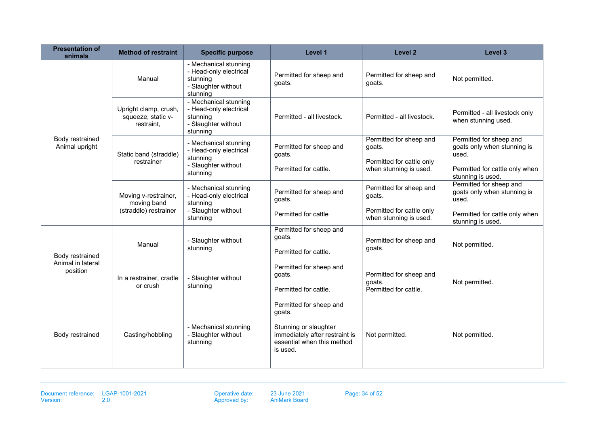| <b>Presentation of</b><br>animals | <b>Method of restraint</b>                                   | <b>Specific purpose</b>                                                                        | Level 1                                                                                                                                | Level <sub>2</sub>                                                                       | Level 3                                                                                                                |
|-----------------------------------|--------------------------------------------------------------|------------------------------------------------------------------------------------------------|----------------------------------------------------------------------------------------------------------------------------------------|------------------------------------------------------------------------------------------|------------------------------------------------------------------------------------------------------------------------|
|                                   | Manual                                                       | - Mechanical stunning<br>- Head-only electrical<br>stunning<br>- Slaughter without<br>stunning | Permitted for sheep and<br>qoats.                                                                                                      | Permitted for sheep and<br>qoats.                                                        | Not permitted.                                                                                                         |
|                                   | Upright clamp, crush,<br>squeeze, static v-<br>restraint,    | - Mechanical stunning<br>- Head-only electrical<br>stunning<br>- Slaughter without<br>stunning | Permitted - all livestock.                                                                                                             | Permitted - all livestock.                                                               | Permitted - all livestock only<br>when stunning used.                                                                  |
| Body restrained<br>Animal upright | Static band (straddle)<br>restrainer                         | - Mechanical stunning<br>- Head-only electrical<br>stunning<br>- Slaughter without<br>stunning | Permitted for sheep and<br>goats.<br>Permitted for cattle.                                                                             | Permitted for sheep and<br>goats.<br>Permitted for cattle only<br>when stunning is used. | Permitted for sheep and<br>goats only when stunning is<br>used.<br>Permitted for cattle only when<br>stunning is used. |
|                                   | Moving v-restrainer,<br>moving band<br>(straddle) restrainer | - Mechanical stunning<br>- Head-only electrical<br>stunning<br>- Slaughter without             | Permitted for sheep and<br>goats.                                                                                                      | Permitted for sheep and<br>goats.<br>Permitted for cattle only                           | Permitted for sheep and<br>goats only when stunning is<br>used.                                                        |
|                                   |                                                              | stunning                                                                                       | Permitted for cattle                                                                                                                   | when stunning is used.                                                                   | Permitted for cattle only when<br>stunning is used.                                                                    |
| Body restrained                   | Manual                                                       | - Slaughter without<br>stunning                                                                | Permitted for sheep and<br>goats.<br>Permitted for cattle.                                                                             | Permitted for sheep and<br>goats.                                                        | Not permitted.                                                                                                         |
| Animal in lateral<br>position     | In a restrainer, cradle<br>or crush                          | - Slaughter without<br>stunning                                                                | Permitted for sheep and<br>goats.<br>Permitted for cattle.                                                                             | Permitted for sheep and<br>qoats.<br>Permitted for cattle.                               | Not permitted.                                                                                                         |
| Body restrained                   | Casting/hobbling                                             | - Mechanical stunning<br>- Slaughter without<br>stunning                                       | Permitted for sheep and<br>goats.<br>Stunning or slaughter<br>immediately after restraint is<br>essential when this method<br>is used. | Not permitted.                                                                           | Not permitted.                                                                                                         |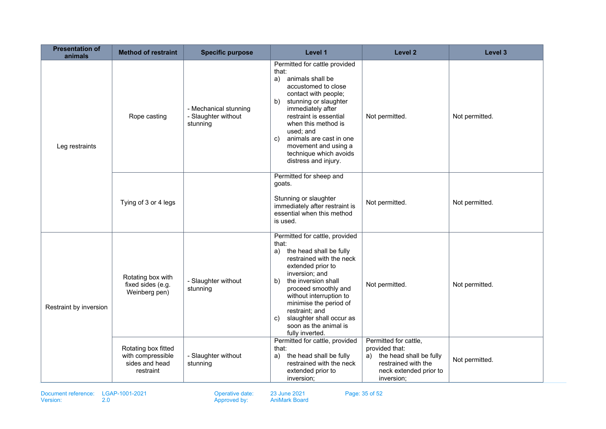| <b>Presentation of</b><br>animals | <b>Method of restraint</b>                                              | <b>Specific purpose</b>                                  | Level 1                                                                                                                                                                                                                                                                                                                                               | Level 2                                                                                                                              | Level 3        |
|-----------------------------------|-------------------------------------------------------------------------|----------------------------------------------------------|-------------------------------------------------------------------------------------------------------------------------------------------------------------------------------------------------------------------------------------------------------------------------------------------------------------------------------------------------------|--------------------------------------------------------------------------------------------------------------------------------------|----------------|
| Leg restraints                    | Rope casting                                                            | - Mechanical stunning<br>- Slaughter without<br>stunning | Permitted for cattle provided<br>that:<br>animals shall be<br>a)<br>accustomed to close<br>contact with people;<br>stunning or slaughter<br>b)<br>immediately after<br>restraint is essential<br>when this method is<br>used; and<br>animals are cast in one<br>c)<br>movement and using a<br>technique which avoids<br>distress and injury.          | Not permitted.                                                                                                                       | Not permitted. |
|                                   | Tying of 3 or 4 legs                                                    |                                                          | Permitted for sheep and<br>goats.<br>Stunning or slaughter<br>immediately after restraint is<br>essential when this method<br>is used.                                                                                                                                                                                                                | Not permitted.                                                                                                                       | Not permitted. |
| Restraint by inversion            | Rotating box with<br>fixed sides (e.g.<br>Weinberg pen)                 | - Slaughter without<br>stunning                          | Permitted for cattle, provided<br>that:<br>the head shall be fully<br>a)<br>restrained with the neck<br>extended prior to<br>inversion; and<br>the inversion shall<br>b)<br>proceed smoothly and<br>without interruption to<br>minimise the period of<br>restraint; and<br>slaughter shall occur as<br>C)<br>soon as the animal is<br>fully inverted. | Not permitted.                                                                                                                       | Not permitted. |
|                                   | Rotating box fitted<br>with compressible<br>sides and head<br>restraint | - Slaughter without<br>stunning                          | Permitted for cattle, provided<br>that:<br>the head shall be fully<br>a)<br>restrained with the neck<br>extended prior to<br>inversion;                                                                                                                                                                                                               | Permitted for cattle,<br>provided that:<br>a) the head shall be fully<br>restrained with the<br>neck extended prior to<br>inversion; | Not permitted. |

Document reference: LGAP-1001-2021 Consumer Consumer 23 June 2021 Page: 35 of 52<br>Version: 2.0 Consumer 2.0 Consumer Approved by: AniMark Board

Operative date:<br>Approved by: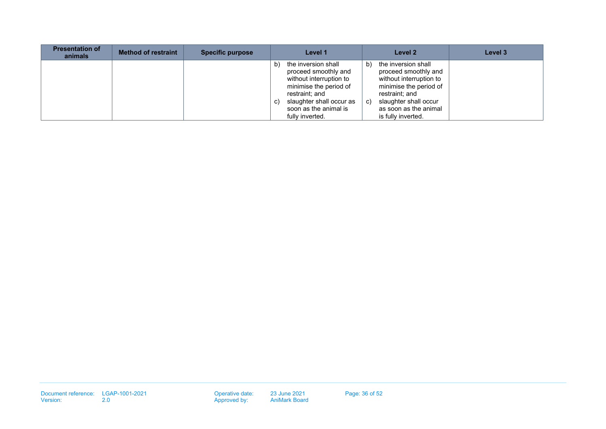| <b>Presentation of</b><br>animals | <b>Method of restraint</b> | <b>Specific purpose</b> |          | Level 1                                                                                                                                                                                    |          | Level 2                                                                                                                                                                                    | Level 3 |
|-----------------------------------|----------------------------|-------------------------|----------|--------------------------------------------------------------------------------------------------------------------------------------------------------------------------------------------|----------|--------------------------------------------------------------------------------------------------------------------------------------------------------------------------------------------|---------|
|                                   |                            |                         | b)<br>C) | the inversion shall<br>proceed smoothly and<br>without interruption to<br>minimise the period of<br>restraint; and<br>slaughter shall occur as<br>soon as the animal is<br>fully inverted. | b)<br>C) | the inversion shall<br>proceed smoothly and<br>without interruption to<br>minimise the period of<br>restraint: and<br>slaughter shall occur<br>as soon as the animal<br>is fully inverted. |         |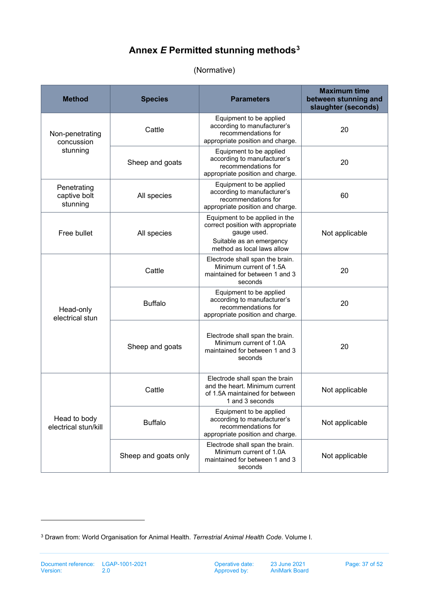# **Annex** *E* **Permitted stunning method[s3](#page-36-2)**

## (Normative)

<span id="page-36-0"></span>

| <b>Method</b>                           | <b>Species</b>       | <b>Parameters</b>                                                                                                                            | <b>Maximum time</b><br>between stunning and<br>slaughter (seconds) |
|-----------------------------------------|----------------------|----------------------------------------------------------------------------------------------------------------------------------------------|--------------------------------------------------------------------|
| Non-penetrating<br>concussion           | Cattle               | Equipment to be applied<br>according to manufacturer's<br>recommendations for<br>appropriate position and charge.                            | 20                                                                 |
| stunning                                | Sheep and goats      | Equipment to be applied<br>according to manufacturer's<br>recommendations for<br>appropriate position and charge.                            | 20                                                                 |
| Penetrating<br>captive bolt<br>stunning | All species          | Equipment to be applied<br>according to manufacturer's<br>recommendations for<br>appropriate position and charge.                            | 60                                                                 |
| Free bullet                             | All species          | Equipment to be applied in the<br>correct position with appropriate<br>gauge used.<br>Suitable as an emergency<br>method as local laws allow | Not applicable                                                     |
|                                         | Cattle               | Electrode shall span the brain.<br>Minimum current of 1.5A<br>maintained for between 1 and 3<br>seconds                                      | 20                                                                 |
| Head-only<br>electrical stun            | <b>Buffalo</b>       | Equipment to be applied<br>according to manufacturer's<br>recommendations for<br>appropriate position and charge.                            | 20                                                                 |
|                                         | Sheep and goats      | Electrode shall span the brain.<br>Minimum current of 1.0A<br>maintained for between 1 and 3<br>seconds                                      | 20                                                                 |
|                                         | Cattle               | Electrode shall span the brain<br>and the heart. Minimum current<br>of 1.5A maintained for between<br>1 and 3 seconds                        | Not applicable                                                     |
| Head to body<br>electrical stun/kill    | <b>Buffalo</b>       | Equipment to be applied<br>according to manufacturer's<br>recommendations for<br>appropriate position and charge.                            | Not applicable                                                     |
|                                         | Sheep and goats only | Electrode shall span the brain.<br>Minimum current of 1.0A<br>maintained for between 1 and 3<br>seconds                                      | Not applicable                                                     |

<span id="page-36-2"></span><span id="page-36-1"></span><sup>3</sup> Drawn from: World Organisation for Animal Health. *Terrestrial Animal Health Code*. Volume I.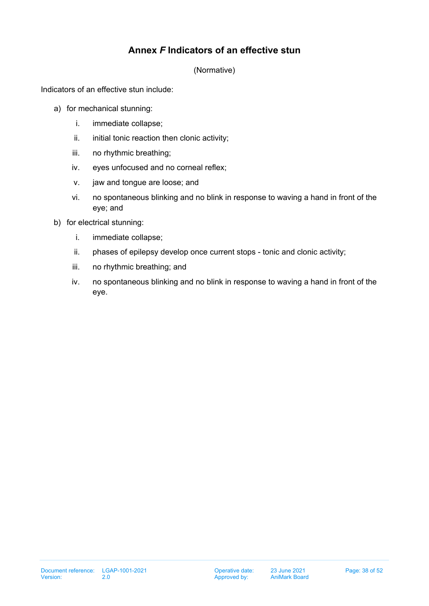# **Annex** *F* **Indicators of an effective stun**

(Normative)

Indicators of an effective stun include:

- a) for mechanical stunning:
	- i. immediate collapse;
	- ii. initial tonic reaction then clonic activity;
	- iii. no rhythmic breathing;
	- iv. eyes unfocused and no corneal reflex;
	- v. jaw and tongue are loose; and
	- vi. no spontaneous blinking and no blink in response to waving a hand in front of the eye; and
- b) for electrical stunning:
	- i. immediate collapse;
	- ii. phases of epilepsy develop once current stops tonic and clonic activity;
	- iii. no rhythmic breathing; and
	- iv. no spontaneous blinking and no blink in response to waving a hand in front of the eye.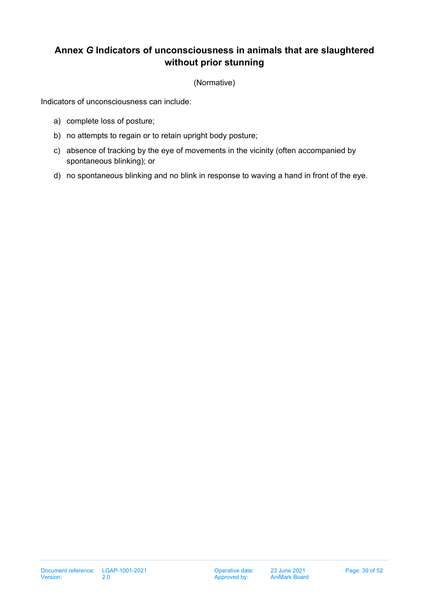# <span id="page-38-0"></span>**Annex** *G* **Indicators of unconsciousness in animals that are slaughtered without prior stunning**

(Normative)

Indicators of unconsciousness can include:

- a) complete loss of posture;
- b) no attempts to regain or to retain upright body posture;
- c) absence of tracking by the eye of movements in the vicinity (often accompanied by spontaneous blinking); or
- d) no spontaneous blinking and no blink in response to waving a hand in front of the eye.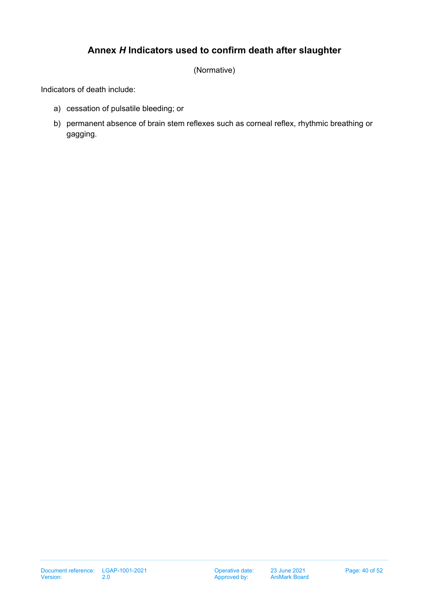# **Annex** *H* **Indicators used to confirm death after slaughter**

(Normative)

<span id="page-39-0"></span>Indicators of death include:

- a) cessation of pulsatile bleeding; or
- b) permanent absence of brain stem reflexes such as corneal reflex, rhythmic breathing or gagging.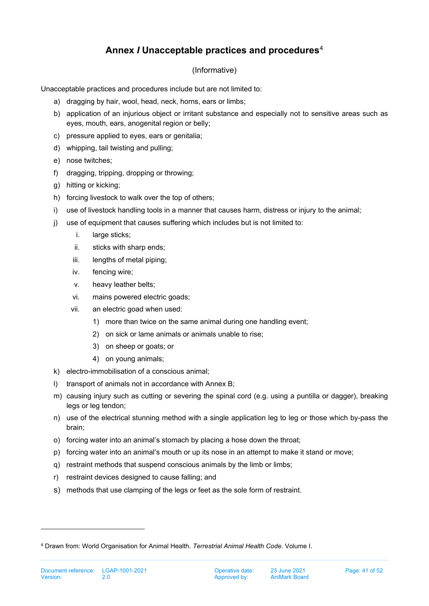# **Annex** *I* **Unacceptable practices and procedures**[4](#page-40-1)

## (Informative)

<span id="page-40-0"></span>Unacceptable practices and procedures include but are not limited to:

- a) dragging by hair, wool, head, neck, horns, ears or limbs;
- b) application of an injurious object or irritant substance and especially not to sensitive areas such as eyes, mouth, ears, anogenital region or belly;
- c) pressure applied to eyes, ears or genitalia;
- d) whipping, tail twisting and pulling;
- e) nose twitches;
- f) dragging, tripping, dropping or throwing;
- g) hitting or kicking;
- h) forcing livestock to walk over the top of others;
- i) use of livestock handling tools in a manner that causes harm, distress or injury to the animal;
- j) use of equipment that causes suffering which includes but is not limited to:
	- i. large sticks;
	- ii. sticks with sharp ends;
	- iii. lengths of metal piping;
	- iv. fencing wire;
	- v. heavy leather belts;
	- vi. mains powered electric goads;
	- vii. an electric goad when used:
		- 1) more than twice on the same animal during one handling event;
		- 2) on sick or lame animals or animals unable to rise;
		- 3) on sheep or goats; or
		- 4) on young animals;
- k) electro-immobilisation of a conscious animal;
- l) transport of animals not in accordance with Annex B;
- m) causing injury such as cutting or severing the spinal cord (e.g. using a puntilla or dagger), breaking legs or leg tendon;
- n) use of the electrical stunning method with a single application leg to leg or those which by-pass the brain;
- o) forcing water into an animal's stomach by placing a hose down the throat;
- p) forcing water into an animal's mouth or up its nose in an attempt to make it stand or move;
- q) restraint methods that suspend conscious animals by the limb or limbs;
- r) restraint devices designed to cause falling; and
- s) methods that use clamping of the legs or feet as the sole form of restraint.

<span id="page-40-1"></span><sup>4</sup> Drawn from: World Organisation for Animal Health. *Terrestrial Animal Health Code*. Volume I.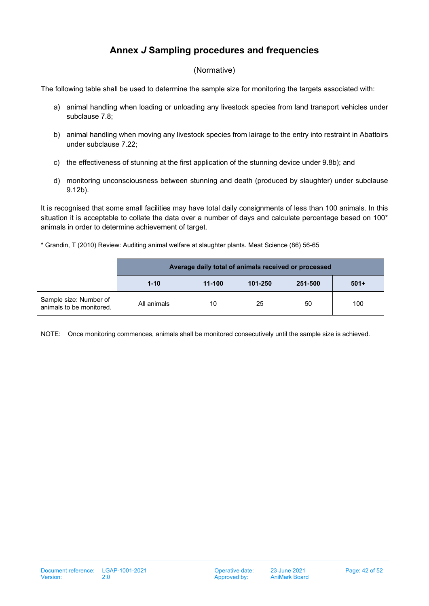# **Annex** *J* **Sampling procedures and frequencies**

#### (Normative)

<span id="page-41-0"></span>The following table shall be used to determine the sample size for monitoring the targets associated with:

- a) animal handling when loading or unloading any livestock species from land transport vehicles under subclause [7.8;](#page-16-0)
- b) animal handling when moving any livestock species from lairage to the entry into restraint in Abattoirs under subclause [7.22;](#page-18-0)
- c) the effectiveness of stunning at the first application of the stunning device under [9.8](#page-24-0)[b\);](#page-24-1) and
- d) monitoring unconsciousness between stunning and death (produced by slaughter) under subclause [9.12](#page-24-2)[b\).](#page-24-3)

It is recognised that some small facilities may have total daily consignments of less than 100 animals. In this situation it is acceptable to collate the data over a number of days and calculate percentage based on 100<sup>\*</sup> animals in order to determine achievement of target.

\* Grandin, T (2010) Review: Auditing animal welfare at slaughter plants. Meat Science (86) 56-65

|                                                    | Average daily total of animals received or processed |        |         |         |        |  |
|----------------------------------------------------|------------------------------------------------------|--------|---------|---------|--------|--|
|                                                    | $1 - 10$                                             | 11-100 | 101-250 | 251-500 | $501+$ |  |
| Sample size: Number of<br>animals to be monitored. | All animals                                          | 10     | 25      | 50      | 100    |  |

NOTE: Once monitoring commences, animals shall be monitored consecutively until the sample size is achieved.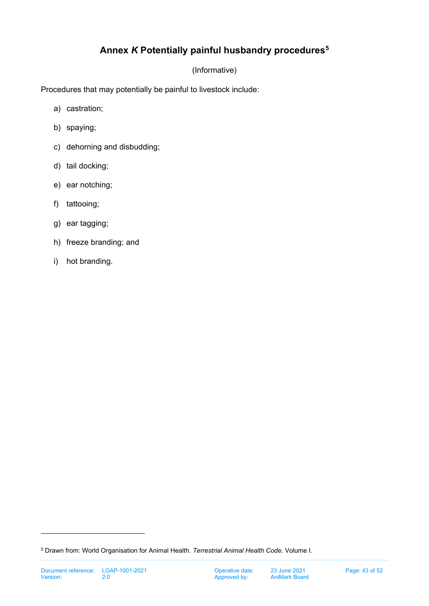# **Annex** *K* **Potentially painful husbandry procedures[5](#page-42-1)**

## (Informative)

<span id="page-42-0"></span>Procedures that may potentially be painful to livestock include:

- a) castration;
- b) spaying;
- c) dehorning and disbudding;
- d) tail docking;
- e) ear notching;
- f) tattooing;
- g) ear tagging;
- h) freeze branding; and
- i) hot branding.

<span id="page-42-1"></span><sup>5</sup> Drawn from: World Organisation for Animal Health. *Terrestrial Animal Health Code*. Volume I.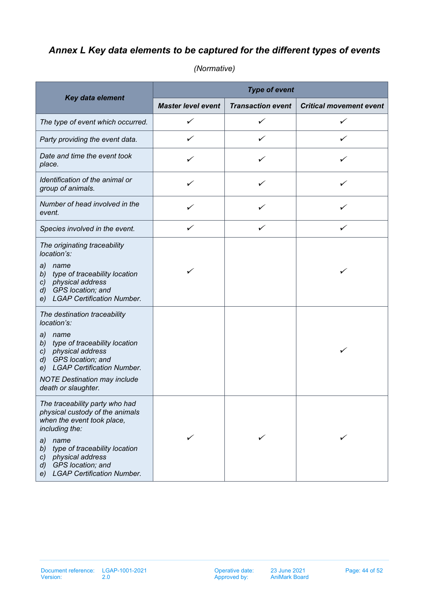# <span id="page-43-0"></span>*Annex L Key data elements to be captured for the different types of events*

|                                                                                                                                                                                                                                                                                                   | <b>Type of event</b>      |                          |                                |  |  |  |
|---------------------------------------------------------------------------------------------------------------------------------------------------------------------------------------------------------------------------------------------------------------------------------------------------|---------------------------|--------------------------|--------------------------------|--|--|--|
| Key data element                                                                                                                                                                                                                                                                                  | <b>Master level event</b> | <b>Transaction event</b> | <b>Critical movement event</b> |  |  |  |
| The type of event which occurred.                                                                                                                                                                                                                                                                 | ✓                         | ✓                        |                                |  |  |  |
| Party providing the event data.                                                                                                                                                                                                                                                                   | ✓                         | ✓                        | ✓                              |  |  |  |
| Date and time the event took<br>place.                                                                                                                                                                                                                                                            | ✓                         | ✓                        | ✓                              |  |  |  |
| Identification of the animal or<br>group of animals.                                                                                                                                                                                                                                              | ✓                         | ✓                        | ✓                              |  |  |  |
| Number of head involved in the<br>event.                                                                                                                                                                                                                                                          |                           |                          |                                |  |  |  |
| Species involved in the event.                                                                                                                                                                                                                                                                    | ✓                         | ✓                        | ✓                              |  |  |  |
| The originating traceability<br>location's:<br>a)<br>name<br>type of traceability location<br>b)<br>c) physical address<br>GPS location; and<br>d)<br><b>LGAP Certification Number.</b><br>e)<br>The destination traceability<br>location's:<br>a)<br>name<br>type of traceability location<br>b) | ✓                         |                          |                                |  |  |  |
| c) physical address<br>d) GPS location; and<br><b>LGAP Certification Number.</b><br>e)<br><b>NOTE Destination may include</b><br>death or slaughter.                                                                                                                                              |                           |                          | ✓                              |  |  |  |
| The traceability party who had<br>physical custody of the animals<br>when the event took place,<br>including the:<br>name<br>a)<br>type of traceability location<br>b)<br>physical address<br>$\mathcal{C}$<br>GPS location; and<br>$\mathcal{d}$<br><b>LGAP Certification Number.</b><br>e)      |                           |                          |                                |  |  |  |

*(Normative)*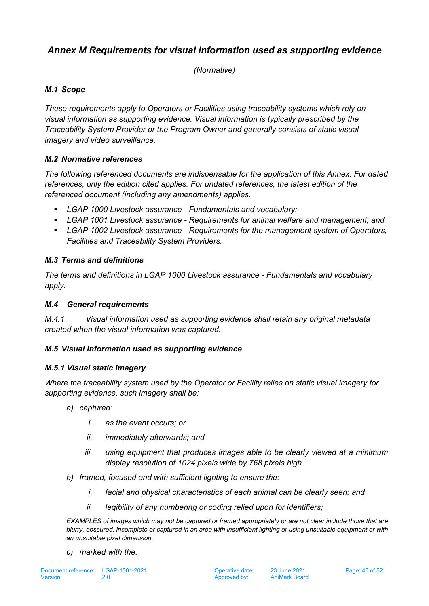# <span id="page-44-0"></span>*Annex M Requirements for visual information used as supporting evidence*

*(Normative)*

## *M.1 Scope*

*These requirements apply to Operators or Facilities using traceability systems which rely on visual information as supporting evidence. Visual information is typically prescribed by the Traceability System Provider or the Program Owner and generally consists of static visual imagery and video surveillance.*

## *M.2 Normative references*

*The following referenced documents are indispensable for the application of this Annex. For dated references, only the edition cited applies. For undated references, the latest edition of the referenced document (including any amendments) applies.*

- *LGAP 1000 Livestock assurance - Fundamentals and vocabulary;*
- *LGAP 1001 Livestock assurance - Requirements for animal welfare and management; and*
- *LGAP 1002 Livestock assurance - Requirements for the management system of Operators, Facilities and Traceability System Providers.*

## *M.3 Terms and definitions*

*The terms and definitions in LGAP 1000 Livestock assurance - Fundamentals and vocabulary apply.*

#### *M.4 General requirements*

*M.4.1 Visual information used as supporting evidence shall retain any original metadata created when the visual information was captured.*

## *M.5 Visual information used as supporting evidence*

## *M.5.1 Visual static imagery*

*Where the traceability system used by the Operator or Facility relies on static visual imagery for supporting evidence, such imagery shall be:*

- *a) captured:*
	- *i. as the event occurs; or*
	- *ii. immediately afterwards; and*
	- *iii. using equipment that produces images able to be clearly viewed at a minimum display resolution of 1024 pixels wide by 768 pixels high.*
- *b) framed, focused and with sufficient lighting to ensure the:*
	- *i. facial and physical characteristics of each animal can be clearly seen; and*
	- *ii. legibility of any numbering or coding relied upon for identifiers;*

*EXAMPLES of images which may not be captured or framed appropriately or are not clear include those that are blurry, obscured, incomplete or captured in an area with insufficient lighting or using unsuitable equipment or with an unsuitable pixel dimension.*

*c) marked with the:*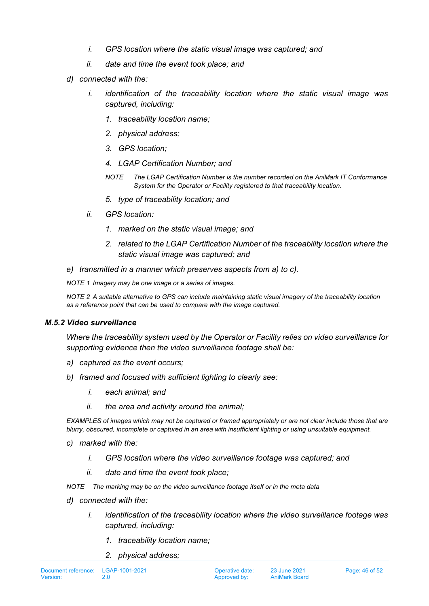- *i. GPS location where the static visual image was captured; and*
- *ii. date and time the event took place; and*
- *d) connected with the:*
	- *i. identification of the traceability location where the static visual image was captured, including:*
		- *1. traceability location name;*
		- *2. physical address;*
		- *3. GPS location;*
		- *4. LGAP Certification Number; and*
		- *NOTE The LGAP Certification Number is the number recorded on the AniMark IT Conformance System for the Operator or Facility registered to that traceability location.*
		- *5. type of traceability location; and*
	- *ii. GPS location:*
		- *1. marked on the static visual image; and*
		- *2. related to the LGAP Certification Number of the traceability location where the static visual image was captured; and*
- *e) transmitted in a manner which preserves aspects from a) to c).*

*NOTE 1 Imagery may be one image or a series of images.*

*NOTE 2 A suitable alternative to GPS can include maintaining static visual imagery of the traceability location as a reference point that can be used to compare with the image captured.*

#### *M.5.2 Video surveillance*

*Where the traceability system used by the Operator or Facility relies on video surveillance for supporting evidence then the video surveillance footage shall be:*

- *a) captured as the event occurs;*
- *b) framed and focused with sufficient lighting to clearly see:*
	- *i. each animal; and*
	- *ii. the area and activity around the animal;*

*EXAMPLES of images which may not be captured or framed appropriately or are not clear include those that are blurry, obscured, incomplete or captured in an area with insufficient lighting or using unsuitable equipment.* 

- *c) marked with the:*
	- *i. GPS location where the video surveillance footage was captured; and*
	- *ii. date and time the event took place;*

*NOTE The marking may be on the video surveillance footage itself or in the meta data*

- *d) connected with the:*
	- *i. identification of the traceability location where the video surveillance footage was captured, including:*
		- *1. traceability location name;*
		- *2. physical address;*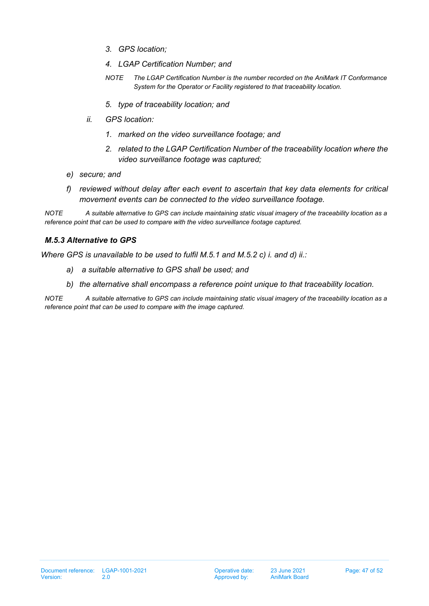- *3. GPS location;*
- *4. LGAP Certification Number; and*
- *NOTE The LGAP Certification Number is the number recorded on the AniMark IT Conformance System for the Operator or Facility registered to that traceability location.*
- *5. type of traceability location; and*
- *ii. GPS location:*
	- *1. marked on the video surveillance footage; and*
	- *2. related to the LGAP Certification Number of the traceability location where the video surveillance footage was captured;*
- *e) secure; and*
- *f) reviewed without delay after each event to ascertain that key data elements for critical movement events can be connected to the video surveillance footage.*

*NOTE A suitable alternative to GPS can include maintaining static visual imagery of the traceability location as a reference point that can be used to compare with the video surveillance footage captured.*

#### *M.5.3 Alternative to GPS*

*Where GPS is unavailable to be used to fulfil M.5.1 and M.5.2 c) i. and d) ii.:*

- *a) a suitable alternative to GPS shall be used; and*
- *b) the alternative shall encompass a reference point unique to that traceability location.*

*NOTE A suitable alternative to GPS can include maintaining static visual imagery of the traceability location as a reference point that can be used to compare with the image captured.*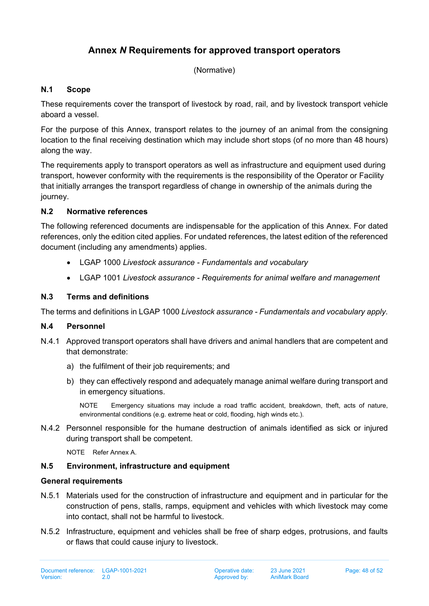# **Annex** *N* **Requirements for approved transport operators**

(Normative)

## <span id="page-47-0"></span>**N.1 Scope**

These requirements cover the transport of livestock by road, rail, and by livestock transport vehicle aboard a vessel.

For the purpose of this Annex, transport relates to the journey of an animal from the consigning location to the final receiving destination which may include short stops (of no more than 48 hours) along the way.

The requirements apply to transport operators as well as infrastructure and equipment used during transport, however conformity with the requirements is the responsibility of the Operator or Facility that initially arranges the transport regardless of change in ownership of the animals during the journey.

## **N.2 Normative references**

The following referenced documents are indispensable for the application of this Annex. For dated references, only the edition cited applies. For undated references, the latest edition of the referenced document (including any amendments) applies.

- LGAP 1000 *Livestock assurance - Fundamentals and vocabulary*
- LGAP 1001 *Livestock assurance - Requirements for animal welfare and management*

## **N.3 Terms and definitions**

The terms and definitions in LGAP 1000 *Livestock assurance - Fundamentals and vocabulary apply.*

## **N.4 Personnel**

- N.4.1 Approved transport operators shall have drivers and animal handlers that are competent and that demonstrate:
	- a) the fulfilment of their job requirements; and
	- b) they can effectively respond and adequately manage animal welfare during transport and in emergency situations.

NOTE Emergency situations may include a road traffic accident, breakdown, theft, acts of nature, environmental conditions (e.g. extreme heat or cold, flooding, high winds etc.).

N.4.2 Personnel responsible for the humane destruction of animals identified as sick or injured during transport shall be competent.

NOTE Refer Annex A.

## **N.5 Environment, infrastructure and equipment**

#### **General requirements**

- N.5.1 Materials used for the construction of infrastructure and equipment and in particular for the construction of pens, stalls, ramps, equipment and vehicles with which livestock may come into contact, shall not be harmful to livestock.
- N.5.2 Infrastructure, equipment and vehicles shall be free of sharp edges, protrusions, and faults or flaws that could cause injury to livestock.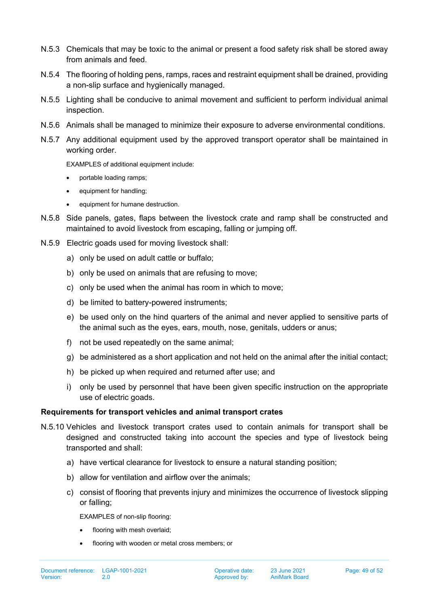- N.5.3 Chemicals that may be toxic to the animal or present a food safety risk shall be stored away from animals and feed.
- N.5.4 The flooring of holding pens, ramps, races and restraint equipment shall be drained, providing a non-slip surface and hygienically managed.
- N.5.5 Lighting shall be conducive to animal movement and sufficient to perform individual animal inspection.
- N.5.6 Animals shall be managed to minimize their exposure to adverse environmental conditions.
- N.5.7 Any additional equipment used by the approved transport operator shall be maintained in working order.

EXAMPLES of additional equipment include:

- portable loading ramps;
- equipment for handling;
- equipment for humane destruction.
- N.5.8 Side panels, gates, flaps between the livestock crate and ramp shall be constructed and maintained to avoid livestock from escaping, falling or jumping off.
- N.5.9 Electric goads used for moving livestock shall:
	- a) only be used on adult cattle or buffalo;
	- b) only be used on animals that are refusing to move;
	- c) only be used when the animal has room in which to move;
	- d) be limited to battery-powered instruments;
	- e) be used only on the hind quarters of the animal and never applied to sensitive parts of the animal such as the eyes, ears, mouth, nose, genitals, udders or anus;
	- f) not be used repeatedly on the same animal;
	- g) be administered as a short application and not held on the animal after the initial contact;
	- h) be picked up when required and returned after use; and
	- i) only be used by personnel that have been given specific instruction on the appropriate use of electric goads.

#### **Requirements for transport vehicles and animal transport crates**

- N.5.10 Vehicles and livestock transport crates used to contain animals for transport shall be designed and constructed taking into account the species and type of livestock being transported and shall:
	- a) have vertical clearance for livestock to ensure a natural standing position;
	- b) allow for ventilation and airflow over the animals;
	- c) consist of flooring that prevents injury and minimizes the occurrence of livestock slipping or falling;

EXAMPLES of non-slip flooring:

- flooring with mesh overlaid;
- flooring with wooden or metal cross members; or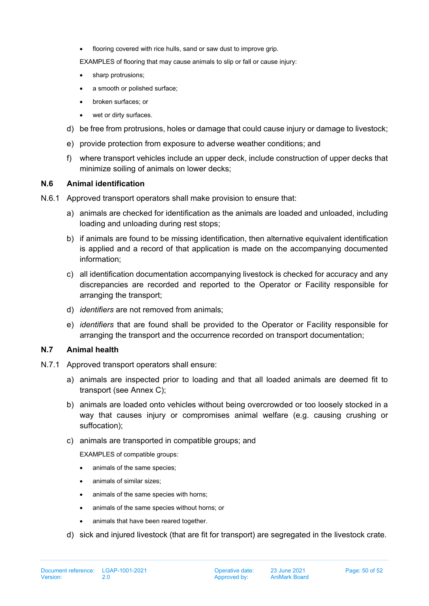flooring covered with rice hulls, sand or saw dust to improve grip.

EXAMPLES of flooring that may cause animals to slip or fall or cause injury:

- sharp protrusions;
- a smooth or polished surface;
- broken surfaces; or
- wet or dirty surfaces.
- d) be free from protrusions, holes or damage that could cause injury or damage to livestock;
- e) provide protection from exposure to adverse weather conditions; and
- f) where transport vehicles include an upper deck, include construction of upper decks that minimize soiling of animals on lower decks;

#### **N.6 Animal identification**

- N.6.1 Approved transport operators shall make provision to ensure that:
	- a) animals are checked for identification as the animals are loaded and unloaded, including loading and unloading during rest stops;
	- b) if animals are found to be missing identification, then alternative equivalent identification is applied and a record of that application is made on the accompanying documented information;
	- c) all identification documentation accompanying livestock is checked for accuracy and any discrepancies are recorded and reported to the Operator or Facility responsible for arranging the transport;
	- d) *identifiers* are not removed from animals;
	- e) *identifiers* that are found shall be provided to the Operator or Facility responsible for arranging the transport and the occurrence recorded on transport documentation;

#### **N.7 Animal health**

- N.7.1 Approved transport operators shall ensure:
	- a) animals are inspected prior to loading and that all loaded animals are deemed fit to transport (see Annex C);
	- b) animals are loaded onto vehicles without being overcrowded or too loosely stocked in a way that causes injury or compromises animal welfare (e.g. causing crushing or suffocation);
	- c) animals are transported in compatible groups; and

EXAMPLES of compatible groups:

- animals of the same species;
- animals of similar sizes;
- animals of the same species with horns;
- animals of the same species without horns; or
- animals that have been reared together.
- d) sick and injured livestock (that are fit for transport) are segregated in the livestock crate.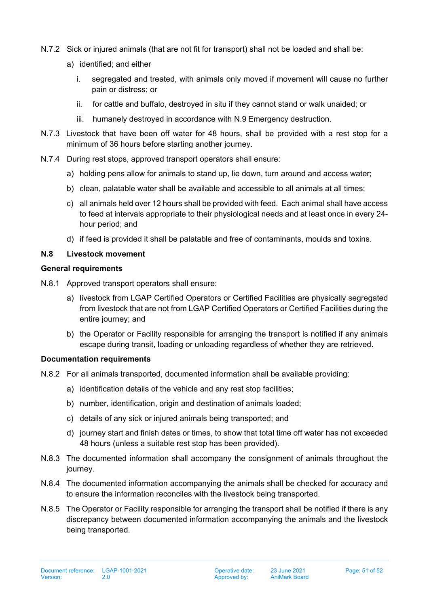- N.7.2 Sick or injured animals (that are not fit for transport) shall not be loaded and shall be:
	- a) identified; and either
		- i. segregated and treated, with animals only moved if movement will cause no further pain or distress; or
		- ii. for cattle and buffalo, destroyed in situ if they cannot stand or walk unaided; or
		- iii. humanely destroyed in accordance with N.9 [Emergency destruction.](#page-51-0)
- N.7.3 Livestock that have been off water for 48 hours, shall be provided with a rest stop for a minimum of 36 hours before starting another journey.
- N.7.4 During rest stops, approved transport operators shall ensure:
	- a) holding pens allow for animals to stand up, lie down, turn around and access water;
	- b) clean, palatable water shall be available and accessible to all animals at all times;
	- c) all animals held over 12 hours shall be provided with feed. Each animal shall have access to feed at intervals appropriate to their physiological needs and at least once in every 24 hour period; and
	- d) if feed is provided it shall be palatable and free of contaminants, moulds and toxins.

#### **N.8 Livestock movement**

#### **General requirements**

- N.8.1 Approved transport operators shall ensure:
	- a) livestock from LGAP Certified Operators or Certified Facilities are physically segregated from livestock that are not from LGAP Certified Operators or Certified Facilities during the entire journey; and
	- b) the Operator or Facility responsible for arranging the transport is notified if any animals escape during transit, loading or unloading regardless of whether they are retrieved.

#### **Documentation requirements**

- N.8.2 For all animals transported, documented information shall be available providing:
	- a) identification details of the vehicle and any rest stop facilities;
	- b) number, identification, origin and destination of animals loaded;
	- c) details of any sick or injured animals being transported; and
	- d) journey start and finish dates or times, to show that total time off water has not exceeded 48 hours (unless a suitable rest stop has been provided).
- N.8.3 The documented information shall accompany the consignment of animals throughout the journey.
- N.8.4 The documented information accompanying the animals shall be checked for accuracy and to ensure the information reconciles with the livestock being transported.
- N.8.5 The Operator or Facility responsible for arranging the transport shall be notified if there is any discrepancy between documented information accompanying the animals and the livestock being transported.